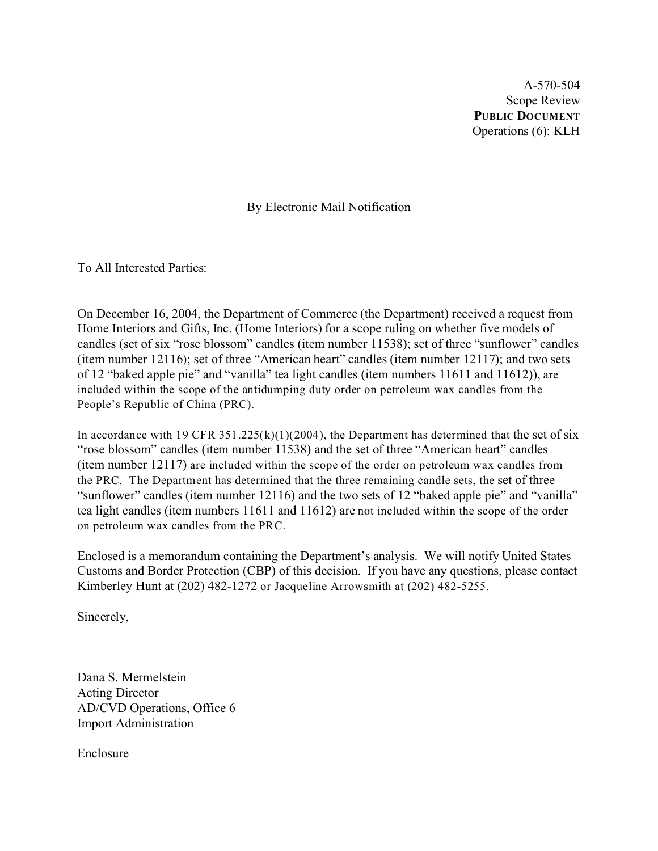A-570-504 Scope Review **PUBLIC DOCUMENT** Operations (6): KLH

By Electronic Mail Notification

To All Interested Parties:

On December 16, 2004, the Department of Commerce (the Department) received a request from Home Interiors and Gifts, Inc. (Home Interiors) for a scope ruling on whether five models of candles (set of six "rose blossom" candles (item number 11538); set of three "sunflower" candles (item number 12116); set of three "American heart" candles (item number 12117); and two sets of 12 "baked apple pie" and "vanilla" tea light candles (item numbers 11611 and 11612)), are included within the scope of the antidumping duty order on petroleum wax candles from the People's Republic of China (PRC).

In accordance with 19 CFR  $351.225(k)(1)(2004)$ , the Department has determined that the set of six "rose blossom" candles (item number 11538) and the set of three "American heart" candles (item number 12117) are included within the scope of the order on petroleum wax candles from the PRC. The Department has determined that the three remaining candle sets, the set of three "sunflower" candles (item number 12116) and the two sets of 12 "baked apple pie" and "vanilla" tea light candles (item numbers 11611 and 11612) are not included within the scope of the order on petroleum wax candles from the PRC.

Enclosed is a memorandum containing the Department's analysis. We will notify United States Customs and Border Protection (CBP) of this decision. If you have any questions, please contact Kimberley Hunt at (202) 482-1272 or Jacqueline Arrowsmith at (202) 482-5255.

Sincerely,

Dana S. Mermelstein Acting Director AD/CVD Operations, Office 6 Import Administration

Enclosure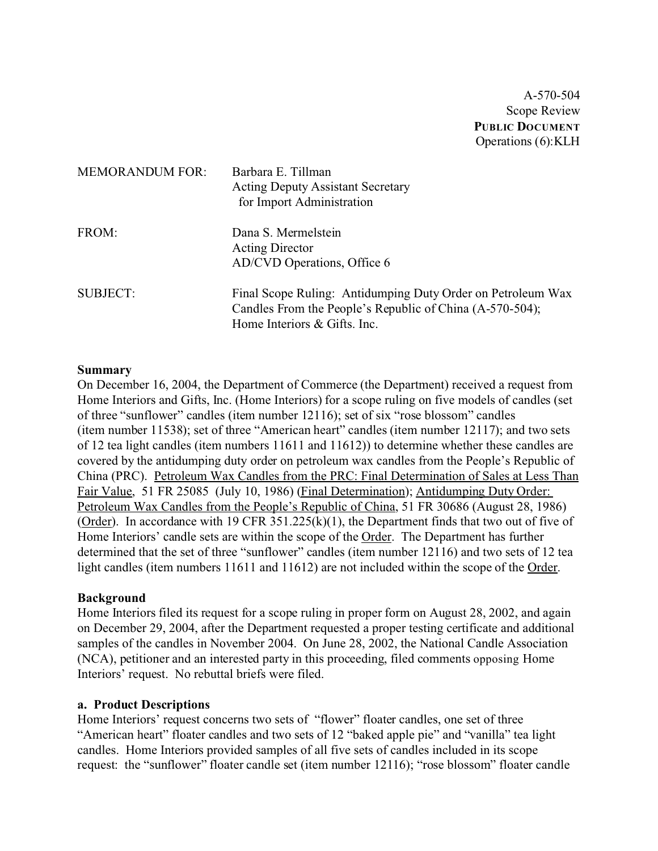A-570-504 Scope Review **PUBLIC DOCUMENT** Operations (6):KLH

| <b>MEMORANDUM FOR:</b> | Barbara E. Tillman<br><b>Acting Deputy Assistant Secretary</b><br>for Import Administration                                                             |
|------------------------|---------------------------------------------------------------------------------------------------------------------------------------------------------|
| FROM:                  | Dana S. Mermelstein<br><b>Acting Director</b><br>AD/CVD Operations, Office 6                                                                            |
| <b>SUBJECT:</b>        | Final Scope Ruling: Antidumping Duty Order on Petroleum Wax<br>Candles From the People's Republic of China (A-570-504);<br>Home Interiors & Gifts. Inc. |

#### **Summary**

On December 16, 2004, the Department of Commerce (the Department) received a request from Home Interiors and Gifts, Inc. (Home Interiors) for a scope ruling on five models of candles (set of three "sunflower" candles (item number 12116); set of six "rose blossom" candles (item number 11538); set of three "American heart" candles (item number 12117); and two sets of 12 tea light candles (item numbers 11611 and 11612)) to determine whether these candles are covered by the antidumping duty order on petroleum wax candles from the People's Republic of China (PRC). Petroleum Wax Candles from the PRC: Final Determination of Sales at Less Than Fair Value, 51 FR 25085 (July 10, 1986) (Final Determination); Antidumping Duty Order: Petroleum Wax Candles from the People's Republic of China, 51 FR 30686 (August 28, 1986) (Order). In accordance with 19 CFR  $351.225(k)(1)$ , the Department finds that two out of five of Home Interiors' candle sets are within the scope of the Order. The Department has further determined that the set of three "sunflower" candles (item number 12116) and two sets of 12 tea light candles (item numbers 11611 and 11612) are not included within the scope of the Order.

#### **Background**

Home Interiors filed its request for a scope ruling in proper form on August 28, 2002, and again on December 29, 2004, after the Department requested a proper testing certificate and additional samples of the candles in November 2004. On June 28, 2002, the National Candle Association (NCA), petitioner and an interested party in this proceeding, filed comments opposing Home Interiors' request. No rebuttal briefs were filed.

#### **a. Product Descriptions**

Home Interiors' request concerns two sets of "flower" floater candles, one set of three "American heart" floater candles and two sets of 12 "baked apple pie" and "vanilla" tea light candles. Home Interiors provided samples of all five sets of candles included in its scope request: the "sunflower" floater candle set (item number 12116); "rose blossom" floater candle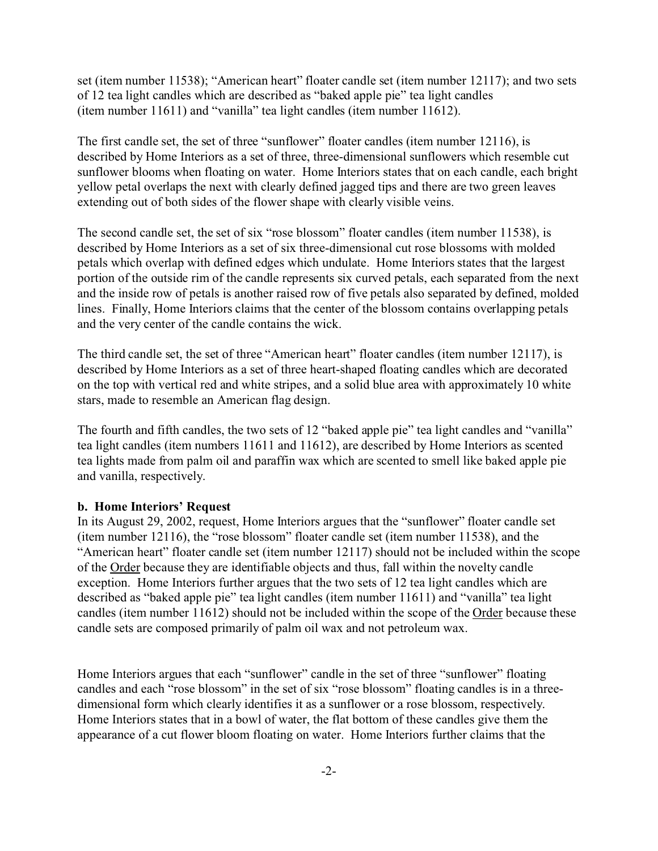set (item number 11538); "American heart" floater candle set (item number 12117); and two sets of 12 tea light candles which are described as "baked apple pie" tea light candles (item number 11611) and "vanilla" tea light candles (item number 11612).

The first candle set, the set of three "sunflower" floater candles (item number 12116), is described by Home Interiors as a set of three, three-dimensional sunflowers which resemble cut sunflower blooms when floating on water. Home Interiors states that on each candle, each bright yellow petal overlaps the next with clearly defined jagged tips and there are two green leaves extending out of both sides of the flower shape with clearly visible veins.

The second candle set, the set of six "rose blossom" floater candles (item number 11538), is described by Home Interiors as a set of six three-dimensional cut rose blossoms with molded petals which overlap with defined edges which undulate. Home Interiors states that the largest portion of the outside rim of the candle represents six curved petals, each separated from the next and the inside row of petals is another raised row of five petals also separated by defined, molded lines. Finally, Home Interiors claims that the center of the blossom contains overlapping petals and the very center of the candle contains the wick.

The third candle set, the set of three "American heart" floater candles (item number 12117), is described by Home Interiors as a set of three heart-shaped floating candles which are decorated on the top with vertical red and white stripes, and a solid blue area with approximately 10 white stars, made to resemble an American flag design.

The fourth and fifth candles, the two sets of 12 "baked apple pie" tea light candles and "vanilla" tea light candles (item numbers 11611 and 11612), are described by Home Interiors as scented tea lights made from palm oil and paraffin wax which are scented to smell like baked apple pie and vanilla, respectively.

#### **b. Home Interiors' Request**

In its August 29, 2002, request, Home Interiors argues that the "sunflower" floater candle set (item number 12116), the "rose blossom" floater candle set (item number 11538), and the "American heart" floater candle set (item number 12117) should not be included within the scope of the Order because they are identifiable objects and thus, fall within the novelty candle exception. Home Interiors further argues that the two sets of 12 tea light candles which are described as "baked apple pie" tea light candles (item number 11611) and "vanilla" tea light candles (item number 11612) should not be included within the scope of the Order because these candle sets are composed primarily of palm oil wax and not petroleum wax.

Home Interiors argues that each "sunflower" candle in the set of three "sunflower" floating candles and each "rose blossom" in the set of six "rose blossom" floating candles is in a threedimensional form which clearly identifies it as a sunflower or a rose blossom, respectively. Home Interiors states that in a bowl of water, the flat bottom of these candles give them the appearance of a cut flower bloom floating on water. Home Interiors further claims that the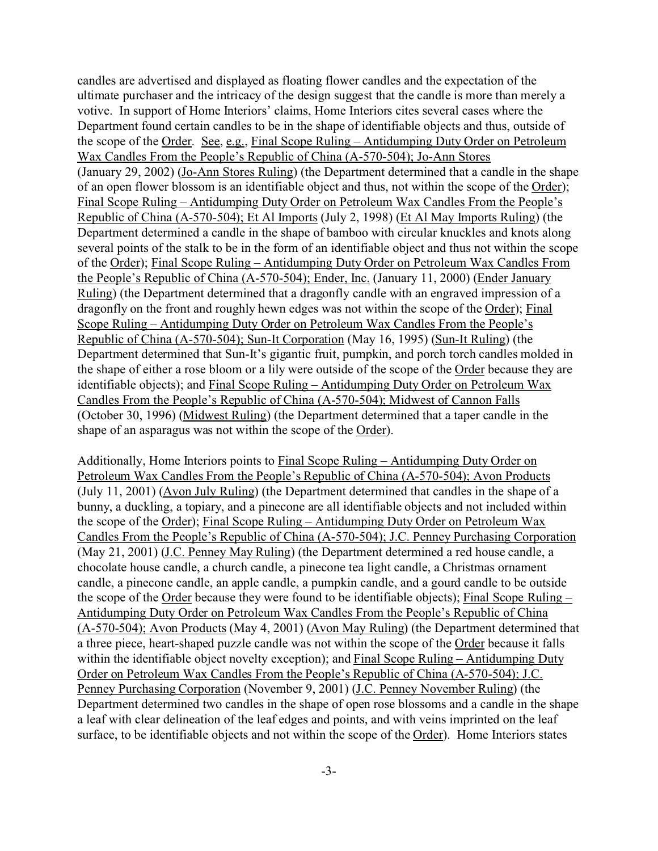candles are advertised and displayed as floating flower candles and the expectation of the ultimate purchaser and the intricacy of the design suggest that the candle is more than merely a votive. In support of Home Interiors' claims, Home Interiors cites several cases where the Department found certain candles to be in the shape of identifiable objects and thus, outside of the scope of the Order. See, e.g., Final Scope Ruling – Antidumping Duty Order on Petroleum Wax Candles From the People's Republic of China (A-570-504); Jo-Ann Stores (January 29, 2002) (Jo-Ann Stores Ruling) (the Department determined that a candle in the shape of an open flower blossom is an identifiable object and thus, not within the scope of the Order); Final Scope Ruling – Antidumping Duty Order on Petroleum Wax Candles From the People's Republic of China (A-570-504); Et Al Imports (July 2, 1998) (Et Al May Imports Ruling) (the Department determined a candle in the shape of bamboo with circular knuckles and knots along several points of the stalk to be in the form of an identifiable object and thus not within the scope of the Order); Final Scope Ruling – Antidumping Duty Order on Petroleum Wax Candles From the People's Republic of China (A-570-504); Ender, Inc. (January 11, 2000) (Ender January Ruling) (the Department determined that a dragonfly candle with an engraved impression of a dragonfly on the front and roughly hewn edges was not within the scope of the Order); Final Scope Ruling – Antidumping Duty Order on Petroleum Wax Candles From the People's Republic of China (A-570-504); Sun-It Corporation (May 16, 1995) (Sun-It Ruling) (the Department determined that Sun-It's gigantic fruit, pumpkin, and porch torch candles molded in the shape of either a rose bloom or a lily were outside of the scope of the Order because they are identifiable objects); and Final Scope Ruling – Antidumping Duty Order on Petroleum Wax Candles From the People's Republic of China (A-570-504); Midwest of Cannon Falls (October 30, 1996) (Midwest Ruling) (the Department determined that a taper candle in the shape of an asparagus was not within the scope of the Order).

Additionally, Home Interiors points to Final Scope Ruling – Antidumping Duty Order on Petroleum Wax Candles From the People's Republic of China (A-570-504); Avon Products (July 11, 2001) (Avon July Ruling) (the Department determined that candles in the shape of a bunny, a duckling, a topiary, and a pinecone are all identifiable objects and not included within the scope of the Order); Final Scope Ruling – Antidumping Duty Order on Petroleum Wax Candles From the People's Republic of China (A-570-504); J.C. Penney Purchasing Corporation (May 21, 2001) (J.C. Penney May Ruling) (the Department determined a red house candle, a chocolate house candle, a church candle, a pinecone tea light candle, a Christmas ornament candle, a pinecone candle, an apple candle, a pumpkin candle, and a gourd candle to be outside the scope of the Order because they were found to be identifiable objects); Final Scope Ruling – Antidumping Duty Order on Petroleum Wax Candles From the People's Republic of China (A-570-504); Avon Products (May 4, 2001) (Avon May Ruling) (the Department determined that a three piece, heart-shaped puzzle candle was not within the scope of the Order because it falls within the identifiable object novelty exception); and Final Scope Ruling – Antidumping Duty Order on Petroleum Wax Candles From the People's Republic of China (A-570-504); J.C. Penney Purchasing Corporation (November 9, 2001) (J.C. Penney November Ruling) (the Department determined two candles in the shape of open rose blossoms and a candle in the shape a leaf with clear delineation of the leaf edges and points, and with veins imprinted on the leaf surface, to be identifiable objects and not within the scope of the Order). Home Interiors states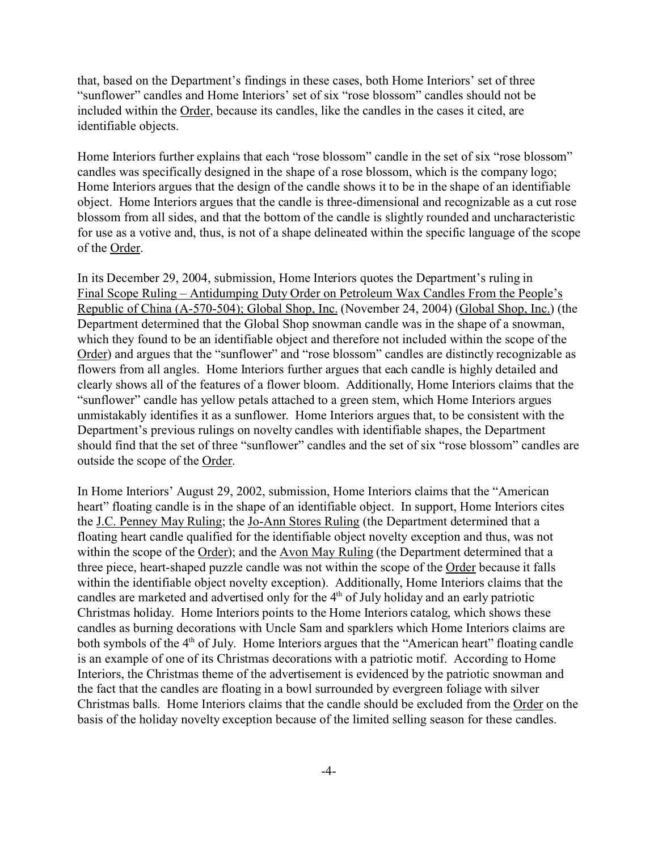that, based on the Department's findings in these cases, both Home Interiors' set of three "sunflower" candles and Home Interiors' set of six "rose blossom" candles should not be included within the Order, because its candles, like the candles in the cases it cited, are identifiable objects.

Home Interiors further explains that each "rose blossom" candle in the set of six "rose blossom" candles was specifically designed in the shape of a rose blossom, which is the company logo; Home Interiors argues that the design of the candle shows it to be in the shape of an identifiable object. Home Interiors argues that the candle is three-dimensional and recognizable as a cut rose blossom from all sides, and that the bottom of the candle is slightly rounded and uncharacteristic for use as a votive and, thus, is not of a shape delineated within the specific language of the scope of the Order.

In its December 29, 2004, submission, Home Interiors quotes the Department's ruling in Final Scope Ruling – Antidumping Duty Order on Petroleum Wax Candles From the People's Republic of China (A-570-504); Global Shop, Inc. (November 24, 2004) (Global Shop, Inc.) (the Department determined that the Global Shop snowman candle was in the shape of a snowman, which they found to be an identifiable object and therefore not included within the scope of the Order) and argues that the "sunflower" and "rose blossom" candles are distinctly recognizable as flowers from all angles. Home Interiors further argues that each candle is highly detailed and clearly shows all of the features of a flower bloom. Additionally, Home Interiors claims that the "sunflower" candle has yellow petals attached to a green stem, which Home Interiors argues unmistakably identifies it as a sunflower. Home Interiors argues that, to be consistent with the Department's previous rulings on novelty candles with identifiable shapes, the Department should find that the set of three "sunflower" candles and the set of six "rose blossom" candles are outside the scope of the Order.

In Home Interiors' August 29, 2002, submission, Home Interiors claims that the "American heart" floating candle is in the shape of an identifiable object. In support, Home Interiors cites the J.C. Penney May Ruling; the Jo-Ann Stores Ruling (the Department determined that a floating heart candle qualified for the identifiable object novelty exception and thus, was not within the scope of the Order); and the Avon May Ruling (the Department determined that a three piece, heart-shaped puzzle candle was not within the scope of the Order because it falls within the identifiable object novelty exception). Additionally, Home Interiors claims that the candles are marketed and advertised only for the 4<sup>th</sup> of July holiday and an early patriotic Christmas holiday. Home Interiors points to the Home Interiors catalog, which shows these candles as burning decorations with Uncle Sam and sparklers which Home Interiors claims are both symbols of the 4<sup>th</sup> of July. Home Interiors argues that the "American heart" floating candle is an example of one of its Christmas decorations with a patriotic motif. According to Home Interiors, the Christmas theme of the advertisement is evidenced by the patriotic snowman and the fact that the candles are floating in a bowl surrounded by evergreen foliage with silver Christmas balls. Home Interiors claims that the candle should be excluded from the Order on the basis of the holiday novelty exception because of the limited selling season for these candles.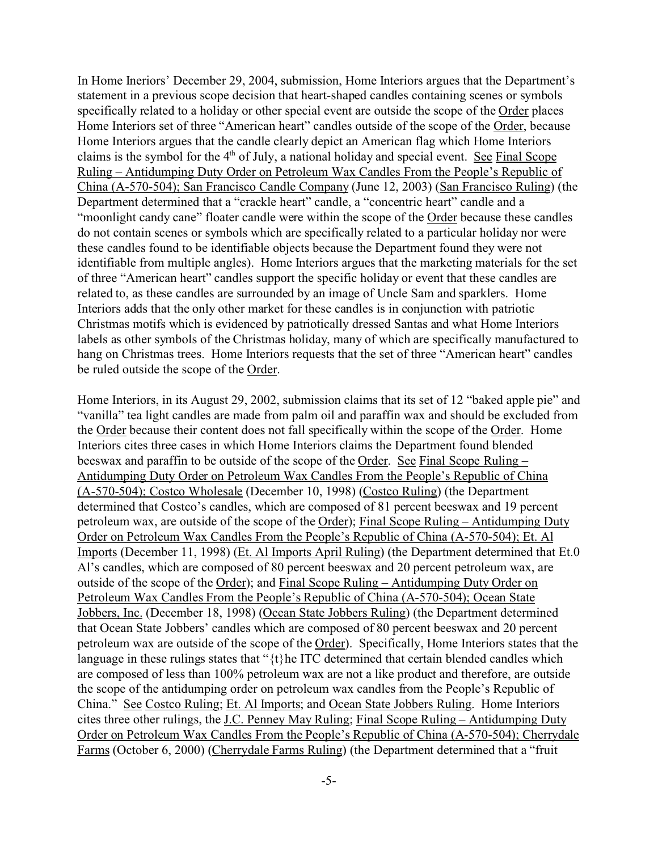In Home Ineriors' December 29, 2004, submission, Home Interiors argues that the Department's statement in a previous scope decision that heart-shaped candles containing scenes or symbols specifically related to a holiday or other special event are outside the scope of the Order places Home Interiors set of three "American heart" candles outside of the scope of the Order, because Home Interiors argues that the candle clearly depict an American flag which Home Interiors claims is the symbol for the 4th of July, a national holiday and special event. See Final Scope Ruling – Antidumping Duty Order on Petroleum Wax Candles From the People's Republic of China (A-570-504); San Francisco Candle Company (June 12, 2003) (San Francisco Ruling) (the Department determined that a "crackle heart" candle, a "concentric heart" candle and a "moonlight candy cane" floater candle were within the scope of the Order because these candles do not contain scenes or symbols which are specifically related to a particular holiday nor were these candles found to be identifiable objects because the Department found they were not identifiable from multiple angles). Home Interiors argues that the marketing materials for the set of three "American heart" candles support the specific holiday or event that these candles are related to, as these candles are surrounded by an image of Uncle Sam and sparklers. Home Interiors adds that the only other market for these candles is in conjunction with patriotic Christmas motifs which is evidenced by patriotically dressed Santas and what Home Interiors labels as other symbols of the Christmas holiday, many of which are specifically manufactured to hang on Christmas trees. Home Interiors requests that the set of three "American heart" candles be ruled outside the scope of the Order.

Home Interiors, in its August 29, 2002, submission claims that its set of 12 "baked apple pie" and "vanilla" tea light candles are made from palm oil and paraffin wax and should be excluded from the Order because their content does not fall specifically within the scope of the Order. Home Interiors cites three cases in which Home Interiors claims the Department found blended beeswax and paraffin to be outside of the scope of the Order. See Final Scope Ruling – Antidumping Duty Order on Petroleum Wax Candles From the People's Republic of China (A-570-504); Costco Wholesale (December 10, 1998) (Costco Ruling) (the Department determined that Costco's candles, which are composed of 81 percent beeswax and 19 percent petroleum wax, are outside of the scope of the Order); Final Scope Ruling – Antidumping Duty Order on Petroleum Wax Candles From the People's Republic of China (A-570-504); Et. Al Imports (December 11, 1998) (Et. Al Imports April Ruling) (the Department determined that Et.0 Al's candles, which are composed of 80 percent beeswax and 20 percent petroleum wax, are outside of the scope of the Order); and Final Scope Ruling – Antidumping Duty Order on Petroleum Wax Candles From the People's Republic of China (A-570-504); Ocean State Jobbers, Inc. (December 18, 1998) (Ocean State Jobbers Ruling) (the Department determined that Ocean State Jobbers' candles which are composed of 80 percent beeswax and 20 percent petroleum wax are outside of the scope of the Order). Specifically, Home Interiors states that the language in these rulings states that " $\{t\}$ he ITC determined that certain blended candles which are composed of less than 100% petroleum wax are not a like product and therefore, are outside the scope of the antidumping order on petroleum wax candles from the People's Republic of China." See Costco Ruling; Et. Al Imports; and Ocean State Jobbers Ruling. Home Interiors cites three other rulings, the J.C. Penney May Ruling; Final Scope Ruling – Antidumping Duty Order on Petroleum Wax Candles From the People's Republic of China (A-570-504); Cherrydale Farms (October 6, 2000) (Cherrydale Farms Ruling) (the Department determined that a "fruit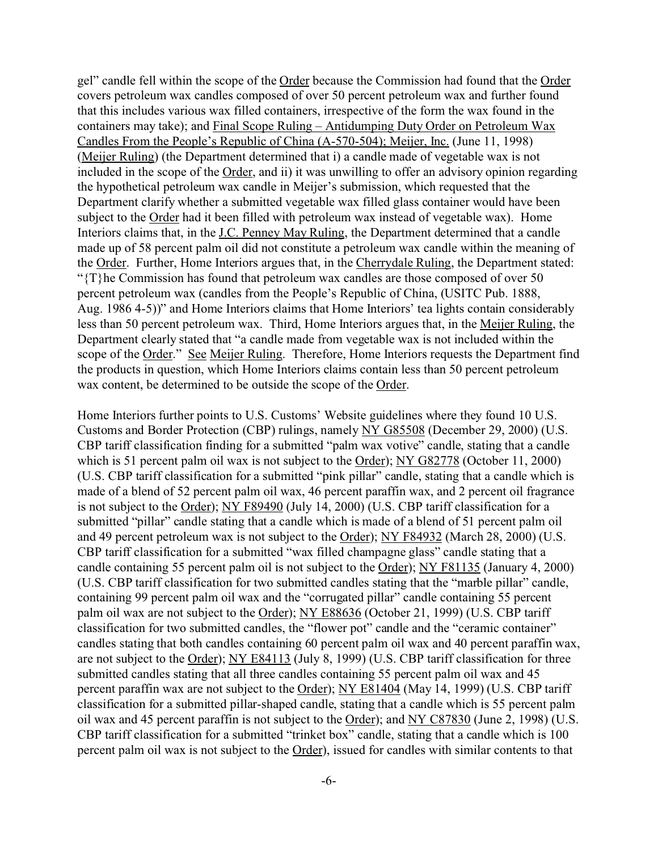gel" candle fell within the scope of the Order because the Commission had found that the Order covers petroleum wax candles composed of over 50 percent petroleum wax and further found that this includes various wax filled containers, irrespective of the form the wax found in the containers may take); and Final Scope Ruling – Antidumping Duty Order on Petroleum Wax Candles From the People's Republic of China (A-570-504); Meijer, Inc. (June 11, 1998) (Meijer Ruling) (the Department determined that i) a candle made of vegetable wax is not included in the scope of the Order, and ii) it was unwilling to offer an advisory opinion regarding the hypothetical petroleum wax candle in Meijer's submission, which requested that the Department clarify whether a submitted vegetable wax filled glass container would have been subject to the Order had it been filled with petroleum wax instead of vegetable wax). Home Interiors claims that, in the J.C. Penney May Ruling, the Department determined that a candle made up of 58 percent palm oil did not constitute a petroleum wax candle within the meaning of the Order. Further, Home Interiors argues that, in the Cherrydale Ruling, the Department stated: "{T}he Commission has found that petroleum wax candles are those composed of over 50 percent petroleum wax (candles from the People's Republic of China, (USITC Pub. 1888, Aug. 1986 4-5))" and Home Interiors claims that Home Interiors' tea lights contain considerably less than 50 percent petroleum wax. Third, Home Interiors argues that, in the Meijer Ruling, the Department clearly stated that "a candle made from vegetable wax is not included within the scope of the Order." See Meijer Ruling. Therefore, Home Interiors requests the Department find the products in question, which Home Interiors claims contain less than 50 percent petroleum wax content, be determined to be outside the scope of the Order.

Home Interiors further points to U.S. Customs' Website guidelines where they found 10 U.S. Customs and Border Protection (CBP) rulings, namely NY G85508 (December 29, 2000) (U.S. CBP tariff classification finding for a submitted "palm wax votive" candle, stating that a candle which is 51 percent palm oil wax is not subject to the Order); NY G82778 (October 11, 2000) (U.S. CBP tariff classification for a submitted "pink pillar" candle, stating that a candle which is made of a blend of 52 percent palm oil wax, 46 percent paraffin wax, and 2 percent oil fragrance is not subject to the Order); NY F89490 (July 14, 2000) (U.S. CBP tariff classification for a submitted "pillar" candle stating that a candle which is made of a blend of 51 percent palm oil and 49 percent petroleum wax is not subject to the Order); NY F84932 (March 28, 2000) (U.S. CBP tariff classification for a submitted "wax filled champagne glass" candle stating that a candle containing 55 percent palm oil is not subject to the Order); NY F81135 (January 4, 2000) (U.S. CBP tariff classification for two submitted candles stating that the "marble pillar" candle, containing 99 percent palm oil wax and the "corrugated pillar" candle containing 55 percent palm oil wax are not subject to the Order); NY E88636 (October 21, 1999) (U.S. CBP tariff classification for two submitted candles, the "flower pot" candle and the "ceramic container" candles stating that both candles containing 60 percent palm oil wax and 40 percent paraffin wax, are not subject to the Order); NY E84113 (July 8, 1999) (U.S. CBP tariff classification for three submitted candles stating that all three candles containing 55 percent palm oil wax and 45 percent paraffin wax are not subject to the Order); NY E81404 (May 14, 1999) (U.S. CBP tariff classification for a submitted pillar-shaped candle, stating that a candle which is 55 percent palm oil wax and 45 percent paraffin is not subject to the Order); and NY C87830 (June 2, 1998) (U.S. CBP tariff classification for a submitted "trinket box" candle, stating that a candle which is 100 percent palm oil wax is not subject to the Order), issued for candles with similar contents to that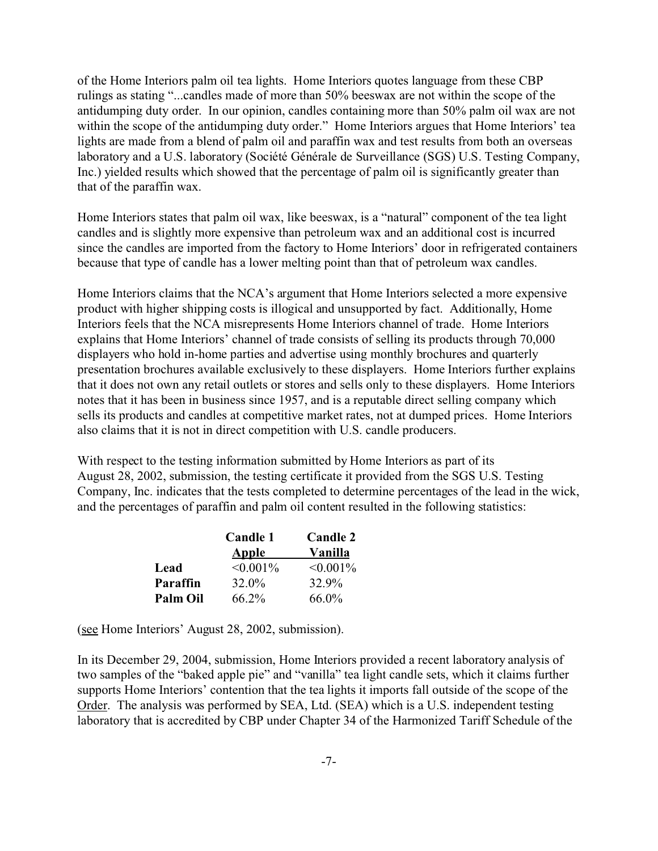of the Home Interiors palm oil tea lights. Home Interiors quotes language from these CBP rulings as stating "...candles made of more than 50% beeswax are not within the scope of the antidumping duty order. In our opinion, candles containing more than 50% palm oil wax are not within the scope of the antidumping duty order." Home Interiors argues that Home Interiors' tea lights are made from a blend of palm oil and paraffin wax and test results from both an overseas laboratory and a U.S. laboratory (Société Générale de Surveillance (SGS) U.S. Testing Company, Inc.) yielded results which showed that the percentage of palm oil is significantly greater than that of the paraffin wax.

Home Interiors states that palm oil wax, like beeswax, is a "natural" component of the tea light candles and is slightly more expensive than petroleum wax and an additional cost is incurred since the candles are imported from the factory to Home Interiors' door in refrigerated containers because that type of candle has a lower melting point than that of petroleum wax candles.

Home Interiors claims that the NCA's argument that Home Interiors selected a more expensive product with higher shipping costs is illogical and unsupported by fact. Additionally, Home Interiors feels that the NCA misrepresents Home Interiors channel of trade. Home Interiors explains that Home Interiors' channel of trade consists of selling its products through 70,000 displayers who hold in-home parties and advertise using monthly brochures and quarterly presentation brochures available exclusively to these displayers. Home Interiors further explains that it does not own any retail outlets or stores and sells only to these displayers. Home Interiors notes that it has been in business since 1957, and is a reputable direct selling company which sells its products and candles at competitive market rates, not at dumped prices. Home Interiors also claims that it is not in direct competition with U.S. candle producers.

With respect to the testing information submitted by Home Interiors as part of its August 28, 2002, submission, the testing certificate it provided from the SGS U.S. Testing Company, Inc. indicates that the tests completed to determine percentages of the lead in the wick, and the percentages of paraffin and palm oil content resulted in the following statistics:

|          | Candle 1    | <b>Candle 2</b> |  |
|----------|-------------|-----------------|--|
|          | Apple       | Vanilla         |  |
| Lead     | $< 0.001\%$ | $\leq 0.001\%$  |  |
| Paraffin | 32.0%       | 32.9%           |  |
| Palm Oil | 66.2%       | 66.0%           |  |

(see Home Interiors' August 28, 2002, submission).

In its December 29, 2004, submission, Home Interiors provided a recent laboratory analysis of two samples of the "baked apple pie" and "vanilla" tea light candle sets, which it claims further supports Home Interiors' contention that the tea lights it imports fall outside of the scope of the Order. The analysis was performed by SEA, Ltd. (SEA) which is a U.S. independent testing laboratory that is accredited by CBP under Chapter 34 of the Harmonized Tariff Schedule of the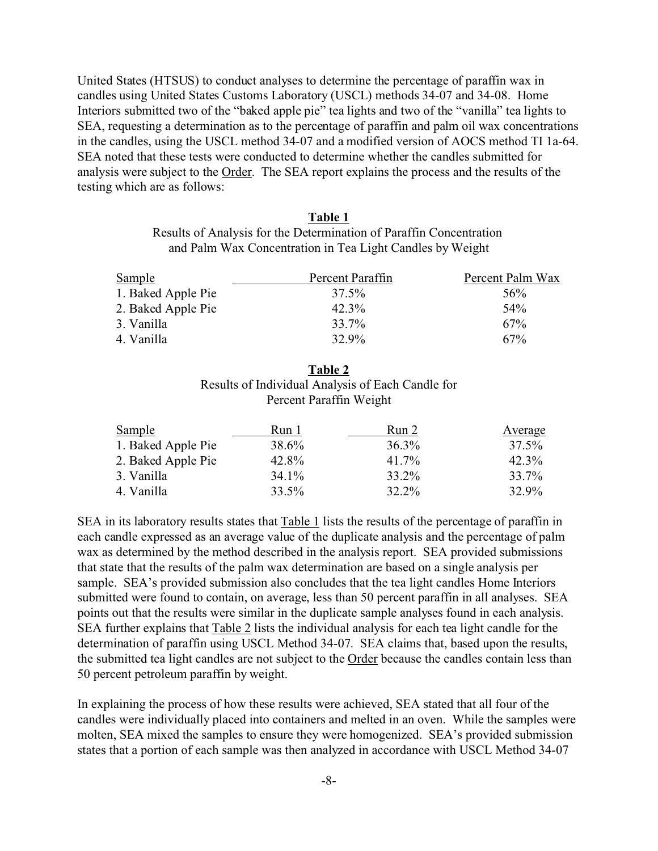United States (HTSUS) to conduct analyses to determine the percentage of paraffin wax in candles using United States Customs Laboratory (USCL) methods 34-07 and 34-08. Home Interiors submitted two of the "baked apple pie" tea lights and two of the "vanilla" tea lights to SEA, requesting a determination as to the percentage of paraffin and palm oil wax concentrations in the candles, using the USCL method 34-07 and a modified version of AOCS method TI 1a-64. SEA noted that these tests were conducted to determine whether the candles submitted for analysis were subject to the Order. The SEA report explains the process and the results of the testing which are as follows:

## **Table 1** Results of Analysis for the Determination of Paraffin Concentration and Palm Wax Concentration in Tea Light Candles by Weight

| Sample             | Percent Paraffin | Percent Palm Wax |
|--------------------|------------------|------------------|
| 1. Baked Apple Pie | 37.5%            | .56%             |
| 2. Baked Apple Pie | $42.3\%$         | .54%             |
| 3. Vanilla         | $33.7\%$         | 67%              |
| 4. Vanilla         | 32.9%            | 67%              |

## **Table 2** Results of Individual Analysis of Each Candle for Percent Paraffin Weight

| Run 1    | Run 2    | Average  |
|----------|----------|----------|
| 38.6%    | $36.3\%$ | 37.5%    |
| 42.8%    | $41.7\%$ | $42.3\%$ |
| $34.1\%$ | 33.2%    | 33.7%    |
| 33.5%    | 32.2%    | 32.9%    |
|          |          |          |

SEA in its laboratory results states that Table 1 lists the results of the percentage of paraffin in each candle expressed as an average value of the duplicate analysis and the percentage of palm wax as determined by the method described in the analysis report. SEA provided submissions that state that the results of the palm wax determination are based on a single analysis per sample. SEA's provided submission also concludes that the tea light candles Home Interiors submitted were found to contain, on average, less than 50 percent paraffin in all analyses. SEA points out that the results were similar in the duplicate sample analyses found in each analysis. SEA further explains that Table 2 lists the individual analysis for each tea light candle for the determination of paraffin using USCL Method 34-07. SEA claims that, based upon the results, the submitted tea light candles are not subject to the Order because the candles contain less than 50 percent petroleum paraffin by weight.

In explaining the process of how these results were achieved, SEA stated that all four of the candles were individually placed into containers and melted in an oven. While the samples were molten, SEA mixed the samples to ensure they were homogenized. SEA's provided submission states that a portion of each sample was then analyzed in accordance with USCL Method 34-07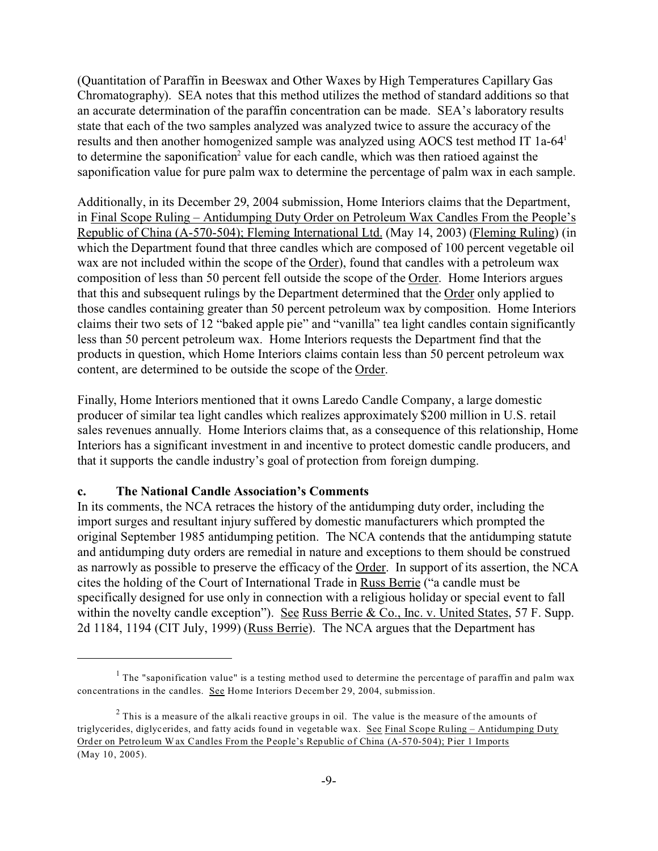(Quantitation of Paraffin in Beeswax and Other Waxes by High Temperatures Capillary Gas Chromatography). SEA notes that this method utilizes the method of standard additions so that an accurate determination of the paraffin concentration can be made. SEA's laboratory results state that each of the two samples analyzed was analyzed twice to assure the accuracy of the results and then another homogenized sample was analyzed using AOCS test method IT 1a-64<sup>1</sup> to determine the saponification<sup>2</sup> value for each candle, which was then ratioed against the saponification value for pure palm wax to determine the percentage of palm wax in each sample.

Additionally, in its December 29, 2004 submission, Home Interiors claims that the Department, in Final Scope Ruling – Antidumping Duty Order on Petroleum Wax Candles From the People's Republic of China (A-570-504); Fleming International Ltd. (May 14, 2003) (Fleming Ruling) (in which the Department found that three candles which are composed of 100 percent vegetable oil wax are not included within the scope of the Order), found that candles with a petroleum wax composition of less than 50 percent fell outside the scope of the Order. Home Interiors argues that this and subsequent rulings by the Department determined that the Order only applied to those candles containing greater than 50 percent petroleum wax by composition. Home Interiors claims their two sets of 12 "baked apple pie" and "vanilla" tea light candles contain significantly less than 50 percent petroleum wax. Home Interiors requests the Department find that the products in question, which Home Interiors claims contain less than 50 percent petroleum wax content, are determined to be outside the scope of the Order.

Finally, Home Interiors mentioned that it owns Laredo Candle Company, a large domestic producer of similar tea light candles which realizes approximately \$200 million in U.S. retail sales revenues annually. Home Interiors claims that, as a consequence of this relationship, Home Interiors has a significant investment in and incentive to protect domestic candle producers, and that it supports the candle industry's goal of protection from foreign dumping.

### **c. The National Candle Association's Comments**

In its comments, the NCA retraces the history of the antidumping duty order, including the import surges and resultant injury suffered by domestic manufacturers which prompted the original September 1985 antidumping petition. The NCA contends that the antidumping statute and antidumping duty orders are remedial in nature and exceptions to them should be construed as narrowly as possible to preserve the efficacy of the Order. In support of its assertion, the NCA cites the holding of the Court of International Trade in Russ Berrie ("a candle must be specifically designed for use only in connection with a religious holiday or special event to fall within the novelty candle exception"). See Russ Berrie & Co., Inc. v. United States, 57 F. Supp. 2d 1184, 1194 (CIT July, 1999) (Russ Berrie). The NCA argues that the Department has

<sup>&</sup>lt;sup>1</sup> The "saponification value" is a testing method used to determine the percentage of paraffin and palm wax concentrations in the candles. See Home Interiors December 29, 2004, submission.

 $2$  This is a measure of the alkali reactive groups in oil. The value is the measure of the amounts of triglycerides, diglycerides, and fatty acids found in vegetable wax. See Final Scope Ruling – Antidumping Duty Order on Petroleum W ax Candles From the People's Republic of China (A-570-504); Pier 1 Imports (May 10, 2005).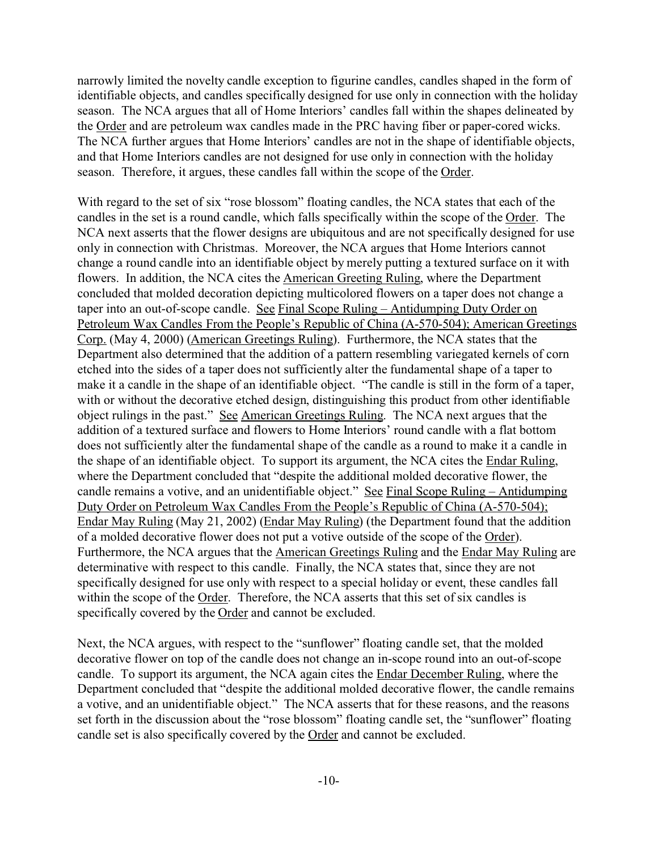narrowly limited the novelty candle exception to figurine candles, candles shaped in the form of identifiable objects, and candles specifically designed for use only in connection with the holiday season. The NCA argues that all of Home Interiors' candles fall within the shapes delineated by the Order and are petroleum wax candles made in the PRC having fiber or paper-cored wicks. The NCA further argues that Home Interiors' candles are not in the shape of identifiable objects, and that Home Interiors candles are not designed for use only in connection with the holiday season. Therefore, it argues, these candles fall within the scope of the Order.

With regard to the set of six "rose blossom" floating candles, the NCA states that each of the candles in the set is a round candle, which falls specifically within the scope of the Order. The NCA next asserts that the flower designs are ubiquitous and are not specifically designed for use only in connection with Christmas. Moreover, the NCA argues that Home Interiors cannot change a round candle into an identifiable object by merely putting a textured surface on it with flowers. In addition, the NCA cites the American Greeting Ruling, where the Department concluded that molded decoration depicting multicolored flowers on a taper does not change a taper into an out-of-scope candle. See Final Scope Ruling – Antidumping Duty Order on Petroleum Wax Candles From the People's Republic of China (A-570-504); American Greetings Corp. (May 4, 2000) (American Greetings Ruling). Furthermore, the NCA states that the Department also determined that the addition of a pattern resembling variegated kernels of corn etched into the sides of a taper does not sufficiently alter the fundamental shape of a taper to make it a candle in the shape of an identifiable object. "The candle is still in the form of a taper, with or without the decorative etched design, distinguishing this product from other identifiable object rulings in the past." See American Greetings Ruling. The NCA next argues that the addition of a textured surface and flowers to Home Interiors' round candle with a flat bottom does not sufficiently alter the fundamental shape of the candle as a round to make it a candle in the shape of an identifiable object. To support its argument, the NCA cites the Endar Ruling, where the Department concluded that "despite the additional molded decorative flower, the candle remains a votive, and an unidentifiable object." See Final Scope Ruling – Antidumping Duty Order on Petroleum Wax Candles From the People's Republic of China (A-570-504); Endar May Ruling (May 21, 2002) (Endar May Ruling) (the Department found that the addition of a molded decorative flower does not put a votive outside of the scope of the Order). Furthermore, the NCA argues that the American Greetings Ruling and the Endar May Ruling are determinative with respect to this candle. Finally, the NCA states that, since they are not specifically designed for use only with respect to a special holiday or event, these candles fall within the scope of the Order. Therefore, the NCA asserts that this set of six candles is specifically covered by the Order and cannot be excluded.

Next, the NCA argues, with respect to the "sunflower" floating candle set, that the molded decorative flower on top of the candle does not change an in-scope round into an out-of-scope candle. To support its argument, the NCA again cites the Endar December Ruling, where the Department concluded that "despite the additional molded decorative flower, the candle remains a votive, and an unidentifiable object." The NCA asserts that for these reasons, and the reasons set forth in the discussion about the "rose blossom" floating candle set, the "sunflower" floating candle set is also specifically covered by the Order and cannot be excluded.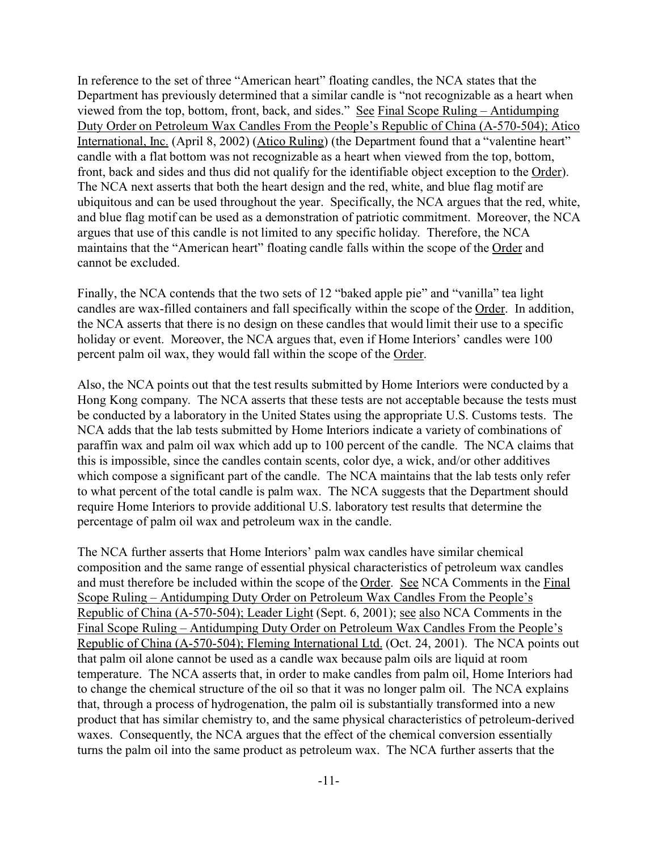In reference to the set of three "American heart" floating candles, the NCA states that the Department has previously determined that a similar candle is "not recognizable as a heart when viewed from the top, bottom, front, back, and sides." See Final Scope Ruling – Antidumping Duty Order on Petroleum Wax Candles From the People's Republic of China (A-570-504); Atico International, Inc. (April 8, 2002) (Atico Ruling) (the Department found that a "valentine heart" candle with a flat bottom was not recognizable as a heart when viewed from the top, bottom, front, back and sides and thus did not qualify for the identifiable object exception to the Order). The NCA next asserts that both the heart design and the red, white, and blue flag motif are ubiquitous and can be used throughout the year. Specifically, the NCA argues that the red, white, and blue flag motif can be used as a demonstration of patriotic commitment. Moreover, the NCA argues that use of this candle is not limited to any specific holiday. Therefore, the NCA maintains that the "American heart" floating candle falls within the scope of the Order and cannot be excluded.

Finally, the NCA contends that the two sets of 12 "baked apple pie" and "vanilla" tea light candles are wax-filled containers and fall specifically within the scope of the Order. In addition, the NCA asserts that there is no design on these candles that would limit their use to a specific holiday or event. Moreover, the NCA argues that, even if Home Interiors' candles were 100 percent palm oil wax, they would fall within the scope of the Order.

Also, the NCA points out that the test results submitted by Home Interiors were conducted by a Hong Kong company. The NCA asserts that these tests are not acceptable because the tests must be conducted by a laboratory in the United States using the appropriate U.S. Customs tests. The NCA adds that the lab tests submitted by Home Interiors indicate a variety of combinations of paraffin wax and palm oil wax which add up to 100 percent of the candle. The NCA claims that this is impossible, since the candles contain scents, color dye, a wick, and/or other additives which compose a significant part of the candle. The NCA maintains that the lab tests only refer to what percent of the total candle is palm wax. The NCA suggests that the Department should require Home Interiors to provide additional U.S. laboratory test results that determine the percentage of palm oil wax and petroleum wax in the candle.

The NCA further asserts that Home Interiors' palm wax candles have similar chemical composition and the same range of essential physical characteristics of petroleum wax candles and must therefore be included within the scope of the Order. See NCA Comments in the Final Scope Ruling – Antidumping Duty Order on Petroleum Wax Candles From the People's Republic of China (A-570-504); Leader Light (Sept. 6, 2001); see also NCA Comments in the Final Scope Ruling – Antidumping Duty Order on Petroleum Wax Candles From the People's Republic of China (A-570-504); Fleming International Ltd. (Oct. 24, 2001). The NCA points out that palm oil alone cannot be used as a candle wax because palm oils are liquid at room temperature. The NCA asserts that, in order to make candles from palm oil, Home Interiors had to change the chemical structure of the oil so that it was no longer palm oil. The NCA explains that, through a process of hydrogenation, the palm oil is substantially transformed into a new product that has similar chemistry to, and the same physical characteristics of petroleum-derived waxes. Consequently, the NCA argues that the effect of the chemical conversion essentially turns the palm oil into the same product as petroleum wax. The NCA further asserts that the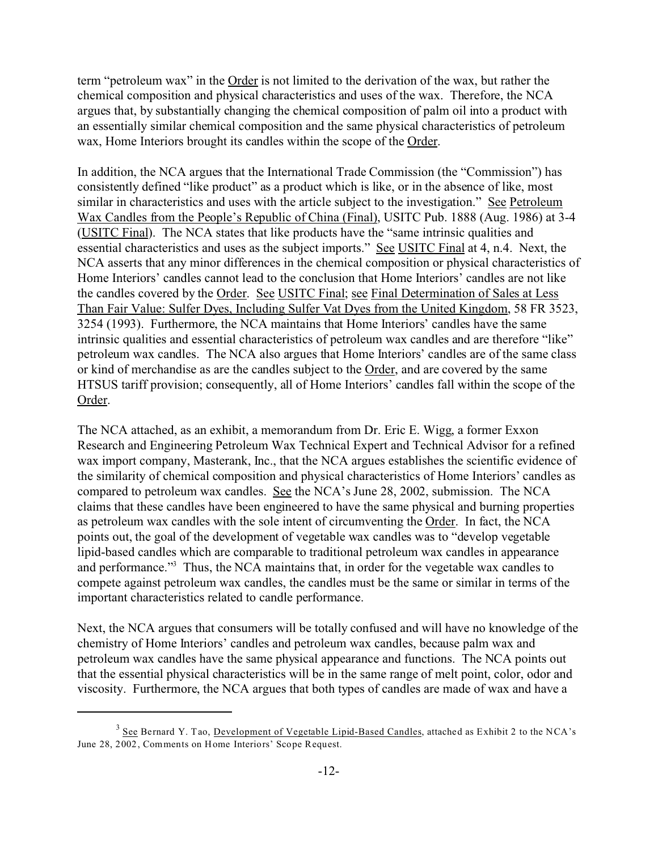term "petroleum wax" in the Order is not limited to the derivation of the wax, but rather the chemical composition and physical characteristics and uses of the wax. Therefore, the NCA argues that, by substantially changing the chemical composition of palm oil into a product with an essentially similar chemical composition and the same physical characteristics of petroleum wax, Home Interiors brought its candles within the scope of the Order.

In addition, the NCA argues that the International Trade Commission (the "Commission") has consistently defined "like product" as a product which is like, or in the absence of like, most similar in characteristics and uses with the article subject to the investigation." See Petroleum Wax Candles from the People's Republic of China (Final), USITC Pub. 1888 (Aug. 1986) at 3-4 (USITC Final). The NCA states that like products have the "same intrinsic qualities and essential characteristics and uses as the subject imports." See USITC Final at 4, n.4. Next, the NCA asserts that any minor differences in the chemical composition or physical characteristics of Home Interiors' candles cannot lead to the conclusion that Home Interiors' candles are not like the candles covered by the Order.See USITC Final; see Final Determination of Sales at Less Than Fair Value: Sulfer Dyes, Including Sulfer Vat Dyes from the United Kingdom, 58 FR 3523, 3254 (1993). Furthermore, the NCA maintains that Home Interiors' candles have the same intrinsic qualities and essential characteristics of petroleum wax candles and are therefore "like" petroleum wax candles. The NCA also argues that Home Interiors' candles are of the same class or kind of merchandise as are the candles subject to the Order, and are covered by the same HTSUS tariff provision; consequently, all of Home Interiors' candles fall within the scope of the Order.

The NCA attached, as an exhibit, a memorandum from Dr. Eric E. Wigg, a former Exxon Research and Engineering Petroleum Wax Technical Expert and Technical Advisor for a refined wax import company, Masterank, Inc., that the NCA argues establishes the scientific evidence of the similarity of chemical composition and physical characteristics of Home Interiors' candles as compared to petroleum wax candles. See the NCA's June 28, 2002, submission. The NCA claims that these candles have been engineered to have the same physical and burning properties as petroleum wax candles with the sole intent of circumventing the Order. In fact, the NCA points out, the goal of the development of vegetable wax candles was to "develop vegetable lipid-based candles which are comparable to traditional petroleum wax candles in appearance and performance."<sup>3</sup> Thus, the NCA maintains that, in order for the vegetable wax candles to compete against petroleum wax candles, the candles must be the same or similar in terms of the important characteristics related to candle performance.

Next, the NCA argues that consumers will be totally confused and will have no knowledge of the chemistry of Home Interiors' candles and petroleum wax candles, because palm wax and petroleum wax candles have the same physical appearance and functions. The NCA points out that the essential physical characteristics will be in the same range of melt point, color, odor and viscosity. Furthermore, the NCA argues that both types of candles are made of wax and have a

 $3$  See Bernard Y. Tao, <u>Development of Vegetable Lipid-Based Candles</u>, attached as Exhibit 2 to the NCA's June 28, 2002, Comments on Home Interiors' Scope Request.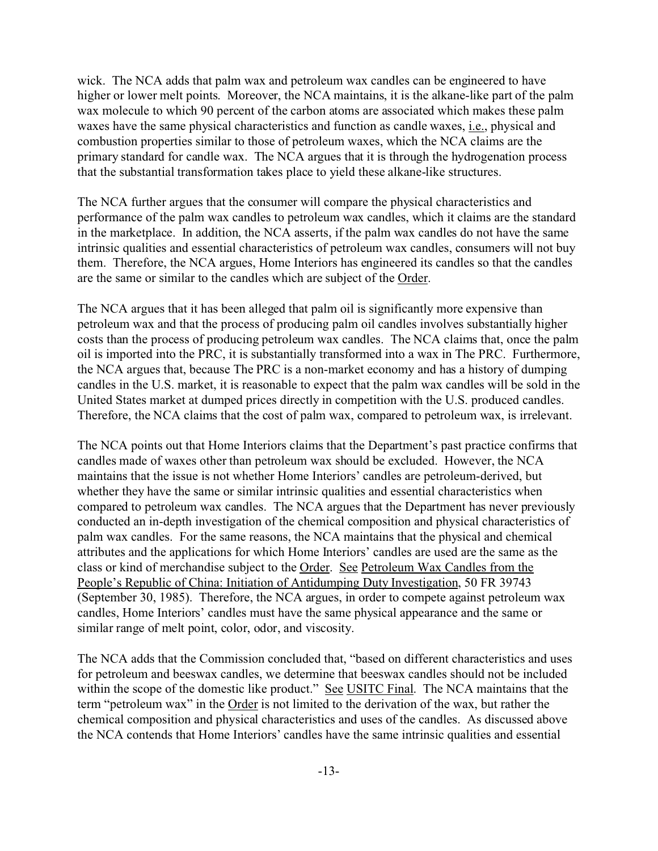wick. The NCA adds that palm wax and petroleum wax candles can be engineered to have higher or lower melt points. Moreover, the NCA maintains, it is the alkane-like part of the palm wax molecule to which 90 percent of the carbon atoms are associated which makes these palm waxes have the same physical characteristics and function as candle waxes, i.e., physical and combustion properties similar to those of petroleum waxes, which the NCA claims are the primary standard for candle wax. The NCA argues that it is through the hydrogenation process that the substantial transformation takes place to yield these alkane-like structures.

The NCA further argues that the consumer will compare the physical characteristics and performance of the palm wax candles to petroleum wax candles, which it claims are the standard in the marketplace. In addition, the NCA asserts, if the palm wax candles do not have the same intrinsic qualities and essential characteristics of petroleum wax candles, consumers will not buy them. Therefore, the NCA argues, Home Interiors has engineered its candles so that the candles are the same or similar to the candles which are subject of the Order.

The NCA argues that it has been alleged that palm oil is significantly more expensive than petroleum wax and that the process of producing palm oil candles involves substantially higher costs than the process of producing petroleum wax candles. The NCA claims that, once the palm oil is imported into the PRC, it is substantially transformed into a wax in The PRC. Furthermore, the NCA argues that, because The PRC is a non-market economy and has a history of dumping candles in the U.S. market, it is reasonable to expect that the palm wax candles will be sold in the United States market at dumped prices directly in competition with the U.S. produced candles. Therefore, the NCA claims that the cost of palm wax, compared to petroleum wax, is irrelevant.

The NCA points out that Home Interiors claims that the Department's past practice confirms that candles made of waxes other than petroleum wax should be excluded. However, the NCA maintains that the issue is not whether Home Interiors' candles are petroleum-derived, but whether they have the same or similar intrinsic qualities and essential characteristics when compared to petroleum wax candles. The NCA argues that the Department has never previously conducted an in-depth investigation of the chemical composition and physical characteristics of palm wax candles. For the same reasons, the NCA maintains that the physical and chemical attributes and the applications for which Home Interiors' candles are used are the same as the class or kind of merchandise subject to the Order. See Petroleum Wax Candles from the People's Republic of China: Initiation of Antidumping Duty Investigation, 50 FR 39743 (September 30, 1985). Therefore, the NCA argues, in order to compete against petroleum wax candles, Home Interiors' candles must have the same physical appearance and the same or similar range of melt point, color, odor, and viscosity.

The NCA adds that the Commission concluded that, "based on different characteristics and uses for petroleum and beeswax candles, we determine that beeswax candles should not be included within the scope of the domestic like product." See USITC Final. The NCA maintains that the term "petroleum wax" in the Order is not limited to the derivation of the wax, but rather the chemical composition and physical characteristics and uses of the candles. As discussed above the NCA contends that Home Interiors' candles have the same intrinsic qualities and essential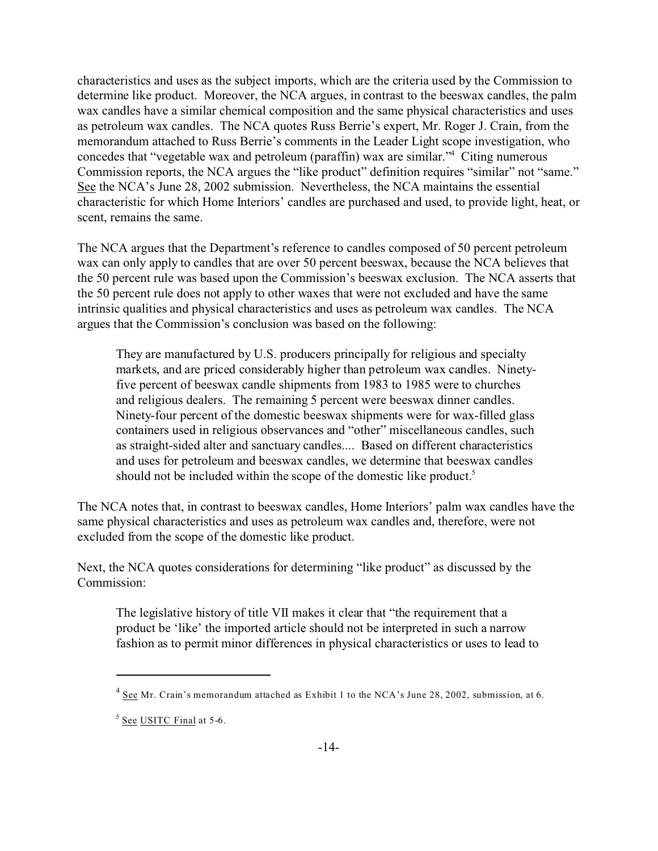characteristics and uses as the subject imports, which are the criteria used by the Commission to determine like product. Moreover, the NCA argues, in contrast to the beeswax candles, the palm wax candles have a similar chemical composition and the same physical characteristics and uses as petroleum wax candles. The NCA quotes Russ Berrie's expert, Mr. Roger J. Crain, from the memorandum attached to Russ Berrie's comments in the Leader Light scope investigation, who concedes that "vegetable wax and petroleum (paraffin) wax are similar."<sup>4</sup> Citing numerous Commission reports, the NCA argues the "like product" definition requires "similar" not "same." See the NCA's June 28, 2002 submission. Nevertheless, the NCA maintains the essential characteristic for which Home Interiors' candles are purchased and used, to provide light, heat, or scent, remains the same.

The NCA argues that the Department's reference to candles composed of 50 percent petroleum wax can only apply to candles that are over 50 percent beeswax, because the NCA believes that the 50 percent rule was based upon the Commission's beeswax exclusion. The NCA asserts that the 50 percent rule does not apply to other waxes that were not excluded and have the same intrinsic qualities and physical characteristics and uses as petroleum wax candles. The NCA argues that the Commission's conclusion was based on the following:

They are manufactured by U.S. producers principally for religious and specialty markets, and are priced considerably higher than petroleum wax candles. Ninetyfive percent of beeswax candle shipments from 1983 to 1985 were to churches and religious dealers. The remaining 5 percent were beeswax dinner candles. Ninety-four percent of the domestic beeswax shipments were for wax-filled glass containers used in religious observances and "other" miscellaneous candles, such as straight-sided alter and sanctuary candles.... Based on different characteristics and uses for petroleum and beeswax candles, we determine that beeswax candles should not be included within the scope of the domestic like product.<sup>5</sup>

The NCA notes that, in contrast to beeswax candles, Home Interiors' palm wax candles have the same physical characteristics and uses as petroleum wax candles and, therefore, were not excluded from the scope of the domestic like product.

Next, the NCA quotes considerations for determining "like product" as discussed by the Commission:

The legislative history of title VII makes it clear that "the requirement that a product be 'like' the imported article should not be interpreted in such a narrow fashion as to permit minor differences in physical characteristics or uses to lead to

 $4 \text{ See Mr. Crain's memorandum attached as Exhibit 1 to the NCA's June 28, 2002, submission, at 6.}$ 

<sup>&</sup>lt;sup>5</sup> See USITC Final at 5-6.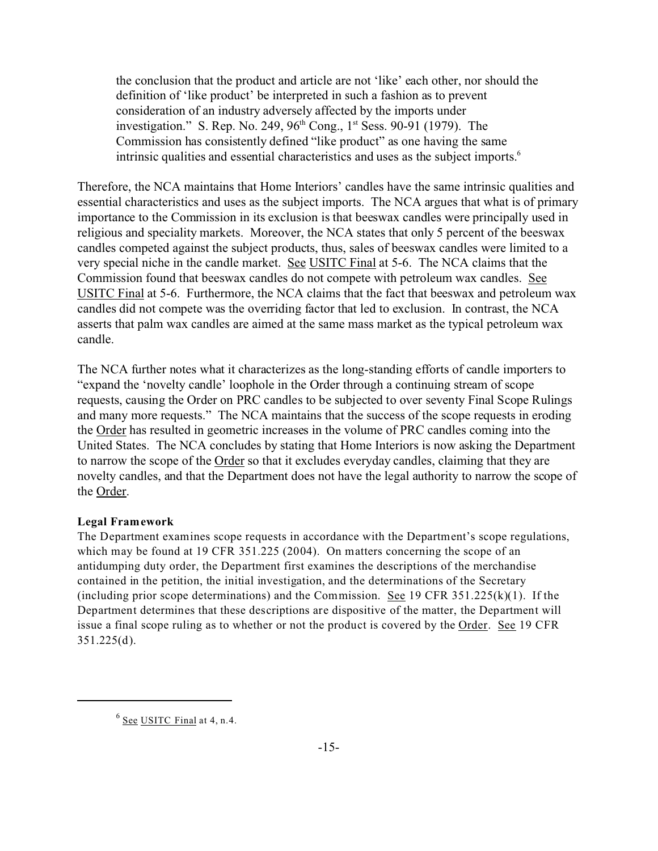the conclusion that the product and article are not 'like' each other, nor should the definition of 'like product' be interpreted in such a fashion as to prevent consideration of an industry adversely affected by the imports under investigation." S. Rep. No. 249,  $96<sup>th</sup>$  Cong., 1<sup>st</sup> Sess. 90-91 (1979). The Commission has consistently defined "like product" as one having the same intrinsic qualities and essential characteristics and uses as the subject imports.<sup>6</sup>

Therefore, the NCA maintains that Home Interiors' candles have the same intrinsic qualities and essential characteristics and uses as the subject imports. The NCA argues that what is of primary importance to the Commission in its exclusion is that beeswax candles were principally used in religious and speciality markets. Moreover, the NCA states that only 5 percent of the beeswax candles competed against the subject products, thus, sales of beeswax candles were limited to a very special niche in the candle market. See USITC Final at 5-6. The NCA claims that the Commission found that beeswax candles do not compete with petroleum wax candles. See USITC Final at 5-6. Furthermore, the NCA claims that the fact that beeswax and petroleum wax candles did not compete was the overriding factor that led to exclusion. In contrast, the NCA asserts that palm wax candles are aimed at the same mass market as the typical petroleum wax candle.

The NCA further notes what it characterizes as the long-standing efforts of candle importers to "expand the 'novelty candle' loophole in the Order through a continuing stream of scope requests, causing the Order on PRC candles to be subjected to over seventy Final Scope Rulings and many more requests." The NCA maintains that the success of the scope requests in eroding the Order has resulted in geometric increases in the volume of PRC candles coming into the United States. The NCA concludes by stating that Home Interiors is now asking the Department to narrow the scope of the Order so that it excludes everyday candles, claiming that they are novelty candles, and that the Department does not have the legal authority to narrow the scope of the Order.

#### **Legal Framework**

The Department examines scope requests in accordance with the Department's scope regulations, which may be found at 19 CFR 351.225 (2004). On matters concerning the scope of an antidumping duty order, the Department first examines the descriptions of the merchandise contained in the petition, the initial investigation, and the determinations of the Secretary (including prior scope determinations) and the Commission. See 19 CFR  $351.225(k)(1)$ . If the Department determines that these descriptions are dispositive of the matter, the Department will issue a final scope ruling as to whether or not the product is covered by the Order. See 19 CFR 351.225(d).

 $^6$  See USITC Final at 4, n.4.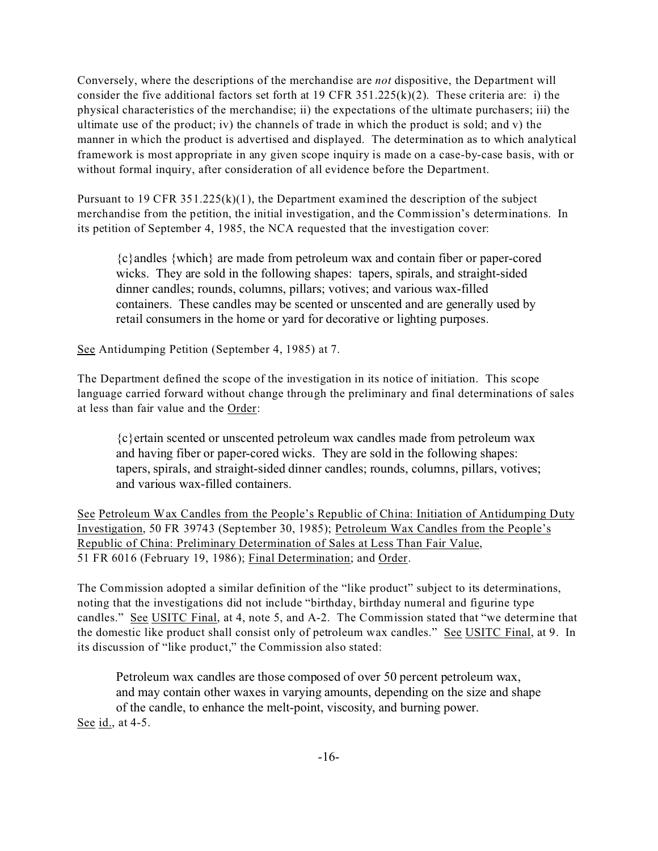Conversely, where the descriptions of the merchandise are *not* dispositive, the Department will consider the five additional factors set forth at 19 CFR  $351.225(k)(2)$ . These criteria are: i) the physical characteristics of the merchandise; ii) the expectations of the ultimate purchasers; iii) the ultimate use of the product; iv) the channels of trade in which the product is sold; and v) the manner in which the product is advertised and displayed. The determination as to which analytical framework is most appropriate in any given scope inquiry is made on a case-by-case basis, with or without formal inquiry, after consideration of all evidence before the Department.

Pursuant to 19 CFR  $351.225(k)(1)$ , the Department examined the description of the subject merchandise from the petition, the initial investigation, and the Commission's determinations. In its petition of September 4, 1985, the NCA requested that the investigation cover:

{c}andles {which} are made from petroleum wax and contain fiber or paper-cored wicks. They are sold in the following shapes: tapers, spirals, and straight-sided dinner candles; rounds, columns, pillars; votives; and various wax-filled containers. These candles may be scented or unscented and are generally used by retail consumers in the home or yard for decorative or lighting purposes.

See Antidumping Petition (September 4, 1985) at 7.

The Department defined the scope of the investigation in its notice of initiation. This scope language carried forward without change through the preliminary and final determinations of sales at less than fair value and the Order:

{c}ertain scented or unscented petroleum wax candles made from petroleum wax and having fiber or paper-cored wicks. They are sold in the following shapes: tapers, spirals, and straight-sided dinner candles; rounds, columns, pillars, votives; and various wax-filled containers.

See Petroleum Wax Candles from the People's Republic of China: Initiation of Antidumping Duty Investigation, 50 FR 39743 (September 30, 1985); Petroleum Wax Candles from the People's Republic of China: Preliminary Determination of Sales at Less Than Fair Value, 51 FR 6016 (February 19, 1986); Final Determination; and Order.

The Commission adopted a similar definition of the "like product" subject to its determinations, noting that the investigations did not include "birthday, birthday numeral and figurine type candles." See USITC Final, at 4, note 5, and A-2. The Commission stated that "we determine that the domestic like product shall consist only of petroleum wax candles." See USITC Final, at 9. In its discussion of "like product," the Commission also stated:

Petroleum wax candles are those composed of over 50 percent petroleum wax, and may contain other waxes in varying amounts, depending on the size and shape of the candle, to enhance the melt-point, viscosity, and burning power. See id., at 4-5.

-16-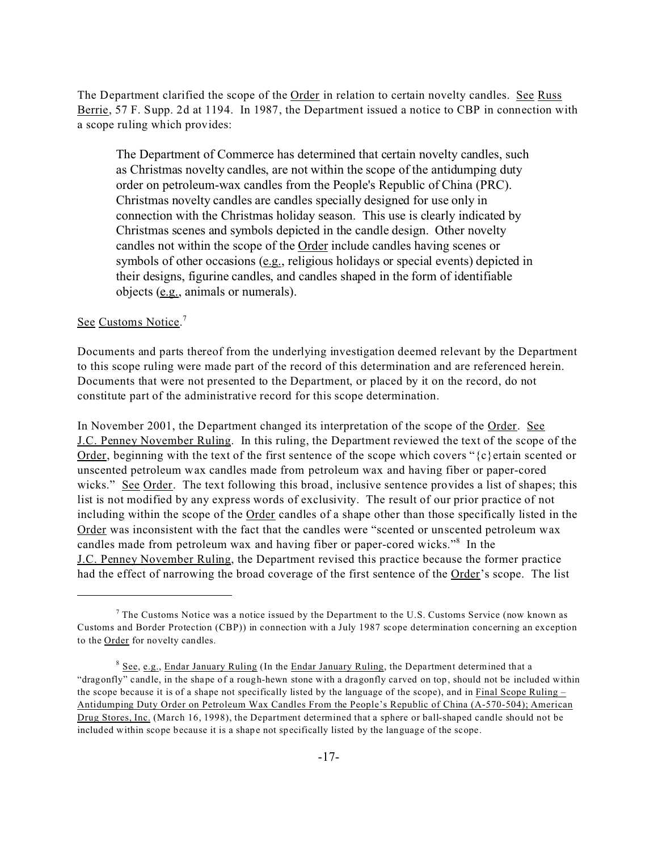The Department clarified the scope of the Order in relation to certain novelty candles. See Russ Berrie, 57 F. Supp. 2d at 1194. In 1987, the Department issued a notice to CBP in connection with a scope ruling which provides:

The Department of Commerce has determined that certain novelty candles, such as Christmas novelty candles, are not within the scope of the antidumping duty order on petroleum-wax candles from the People's Republic of China (PRC). Christmas novelty candles are candles specially designed for use only in connection with the Christmas holiday season. This use is clearly indicated by Christmas scenes and symbols depicted in the candle design. Other novelty candles not within the scope of the Order include candles having scenes or symbols of other occasions (e.g., religious holidays or special events) depicted in their designs, figurine candles, and candles shaped in the form of identifiable objects (e.g., animals or numerals).

#### See Customs Notice.<sup>7</sup>

Documents and parts thereof from the underlying investigation deemed relevant by the Department to this scope ruling were made part of the record of this determination and are referenced herein. Documents that were not presented to the Department, or placed by it on the record, do not constitute part of the administrative record for this scope determination.

In November 2001, the Department changed its interpretation of the scope of the Order. See J.C. Penney November Ruling. In this ruling, the Department reviewed the text of the scope of the Order, beginning with the text of the first sentence of the scope which covers " $\{c\}$  ertain scented or unscented petroleum wax candles made from petroleum wax and having fiber or paper-cored wicks." See Order. The text following this broad, inclusive sentence provides a list of shapes; this list is not modified by any express words of exclusivity. The result of our prior practice of not including within the scope of the Order candles of a shape other than those specifically listed in the Order was inconsistent with the fact that the candles were "scented or unscented petroleum wax candles made from petroleum wax and having fiber or paper-cored wicks."<sup>8</sup> In the J.C. Penney November Ruling, the Department revised this practice because the former practice had the effect of narrowing the broad coverage of the first sentence of the Order's scope. The list

<sup>&</sup>lt;sup>7</sup> The Customs Notice was a notice issued by the Department to the U.S. Customs Service (now known as Customs and Border Protection (CBP)) in connection with a July 1987 scope determination concerning an exception to the Order for novelty candles.

<sup>&</sup>lt;sup>8</sup> See, e.g., Endar January Ruling (In the Endar January Ruling, the Department determined that a "dragonfly" candle, in the shape of a rough-hewn stone with a dragonfly carved on top, should not be included within the scope because it is of a shape not specifically listed by the language of the scope), and in Final Scope Ruling  $-$ Antidumping Duty Order on Petroleum Wax Candles From the People's Republic of China (A-570-504); American Drug Stores, Inc. (March 16, 1998), the Department determined that a sphere or ball-shaped candle should not be included within scope because it is a shape not specifically listed by the language of the scope.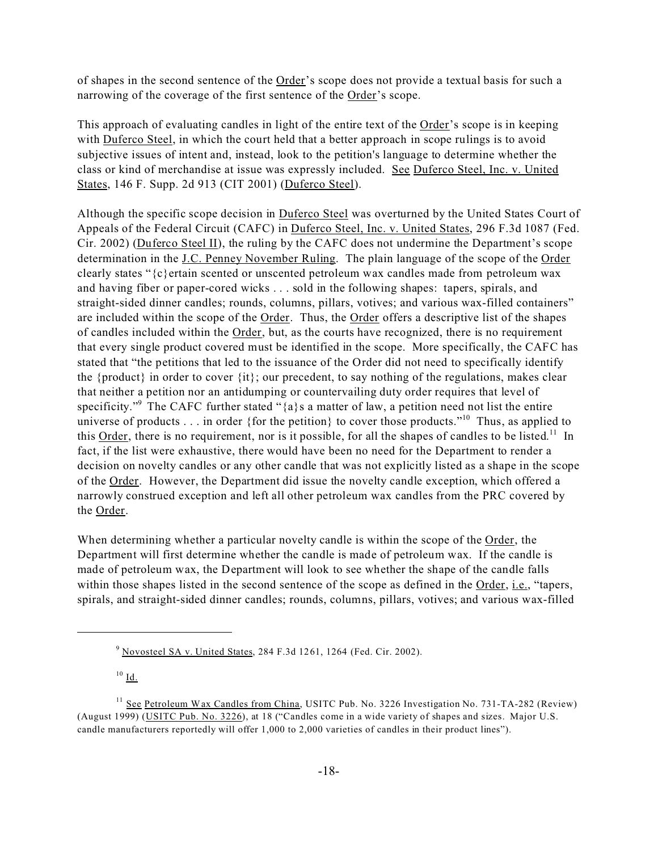of shapes in the second sentence of the Order's scope does not provide a textual basis for such a narrowing of the coverage of the first sentence of the Order's scope.

This approach of evaluating candles in light of the entire text of the Order's scope is in keeping with Duferco Steel, in which the court held that a better approach in scope rulings is to avoid subjective issues of intent and, instead, look to the petition's language to determine whether the class or kind of merchandise at issue was expressly included. See Duferco Steel, Inc. v. United States, 146 F. Supp. 2d 913 (CIT 2001) (Duferco Steel).

Although the specific scope decision in Duferco Steel was overturned by the United States Court of Appeals of the Federal Circuit (CAFC) in Duferco Steel, Inc. v. United States, 296 F.3d 1087 (Fed. Cir. 2002) (Duferco Steel II), the ruling by the CAFC does not undermine the Department's scope determination in the J.C. Penney November Ruling. The plain language of the scope of the Order clearly states " ${c}$  ertain scented or unscented petroleum wax candles made from petroleum wax and having fiber or paper-cored wicks . . . sold in the following shapes: tapers, spirals, and straight-sided dinner candles; rounds, columns, pillars, votives; and various wax-filled containers" are included within the scope of the Order. Thus, the Order offers a descriptive list of the shapes of candles included within the Order, but, as the courts have recognized, there is no requirement that every single product covered must be identified in the scope. More specifically, the CAFC has stated that "the petitions that led to the issuance of the Order did not need to specifically identify the {product} in order to cover {it}; our precedent, to say nothing of the regulations, makes clear that neither a petition nor an antidumping or countervailing duty order requires that level of specificity."<sup>9</sup> The CAFC further stated " ${a}$ s a matter of law, a petition need not list the entire universe of products . . . in order {for the petition} to cover those products."<sup>10</sup> Thus, as applied to this  $Order$ , there is no requirement, nor is it possible, for all the shapes of candles to be listed.<sup>11</sup> In fact, if the list were exhaustive, there would have been no need for the Department to render a decision on novelty candles or any other candle that was not explicitly listed as a shape in the scope of the Order. However, the Department did issue the novelty candle exception, which offered a narrowly construed exception and left all other petroleum wax candles from the PRC covered by the Order.

When determining whether a particular novelty candle is within the scope of the Order, the Department will first determine whether the candle is made of petroleum wax. If the candle is made of petroleum wax, the Department will look to see whether the shape of the candle falls within those shapes listed in the second sentence of the scope as defined in the Order, *i.e.*, "tapers, spirals, and straight-sided dinner candles; rounds, columns, pillars, votives; and various wax-filled

 $9$  Novosteel SA v. United States, 284 F.3d 1261, 1264 (Fed. Cir. 2002).

 $10$  Id.

<sup>&</sup>lt;sup>11</sup> See Petroleum Wax Candles from China, USITC Pub. No. 3226 Investigation No. 731-TA-282 (Review) (August 1999) (USITC Pub. No. 3226), at 18 ("Candles come in a wide variety of shapes and sizes. Major U.S. candle manufacturers reportedly will offer 1,000 to 2,000 varieties of candles in their product lines").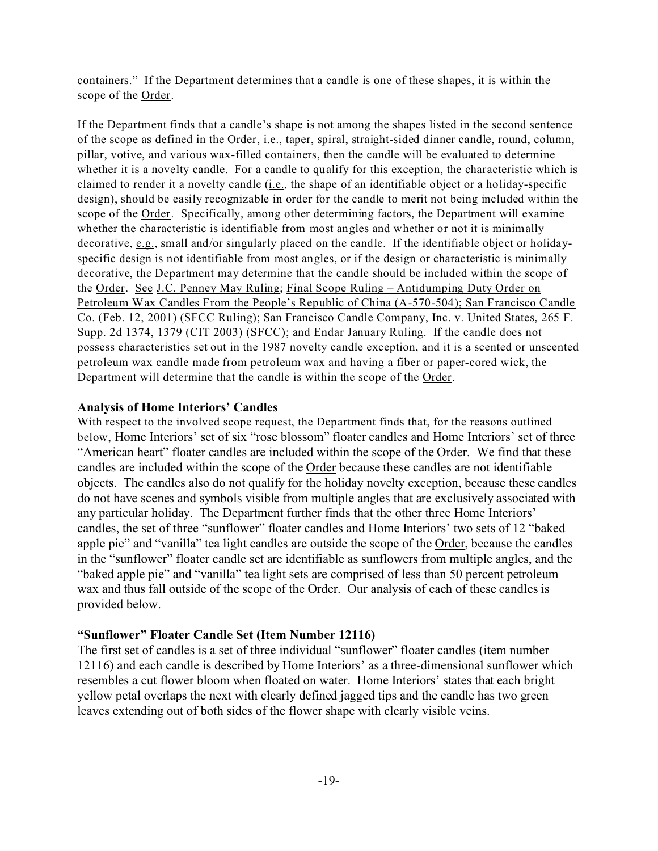containers." If the Department determines that a candle is one of these shapes, it is within the scope of the Order.

If the Department finds that a candle's shape is not among the shapes listed in the second sentence of the scope as defined in the Order, i.e., taper, spiral, straight-sided dinner candle, round, column, pillar, votive, and various wax-filled containers, then the candle will be evaluated to determine whether it is a novelty candle. For a candle to qualify for this exception, the characteristic which is claimed to render it a novelty candle (i.e., the shape of an identifiable object or a holiday-specific design), should be easily recognizable in order for the candle to merit not being included within the scope of the Order. Specifically, among other determining factors, the Department will examine whether the characteristic is identifiable from most angles and whether or not it is minimally decorative, e.g., small and/or singularly placed on the candle. If the identifiable object or holidayspecific design is not identifiable from most angles, or if the design or characteristic is minimally decorative, the Department may determine that the candle should be included within the scope of the Order. See J.C. Penney May Ruling; Final Scope Ruling – Antidumping Duty Order on Petroleum Wax Candles From the People's Republic of China (A-570-504); San Francisco Candle Co. (Feb. 12, 2001) (SFCC Ruling); San Francisco Candle Company, Inc. v. United States, 265 F. Supp. 2d 1374, 1379 (CIT 2003) (SFCC); and Endar January Ruling. If the candle does not possess characteristics set out in the 1987 novelty candle exception, and it is a scented or unscented petroleum wax candle made from petroleum wax and having a fiber or paper-cored wick, the Department will determine that the candle is within the scope of the Order.

#### **Analysis of Home Interiors' Candles**

With respect to the involved scope request, the Department finds that, for the reasons outlined below, Home Interiors' set of six "rose blossom" floater candles and Home Interiors' set of three "American heart" floater candles are included within the scope of the Order. We find that these candles are included within the scope of the Order because these candles are not identifiable objects. The candles also do not qualify for the holiday novelty exception, because these candles do not have scenes and symbols visible from multiple angles that are exclusively associated with any particular holiday. The Department further finds that the other three Home Interiors' candles, the set of three "sunflower" floater candles and Home Interiors' two sets of 12 "baked apple pie" and "vanilla" tea light candles are outside the scope of the Order, because the candles in the "sunflower" floater candle set are identifiable as sunflowers from multiple angles, and the "baked apple pie" and "vanilla" tea light sets are comprised of less than 50 percent petroleum wax and thus fall outside of the scope of the Order. Our analysis of each of these candles is provided below.

#### **"Sunflower" Floater Candle Set (Item Number 12116)**

The first set of candles is a set of three individual "sunflower" floater candles (item number 12116) and each candle is described by Home Interiors' as a three-dimensional sunflower which resembles a cut flower bloom when floated on water. Home Interiors' states that each bright yellow petal overlaps the next with clearly defined jagged tips and the candle has two green leaves extending out of both sides of the flower shape with clearly visible veins.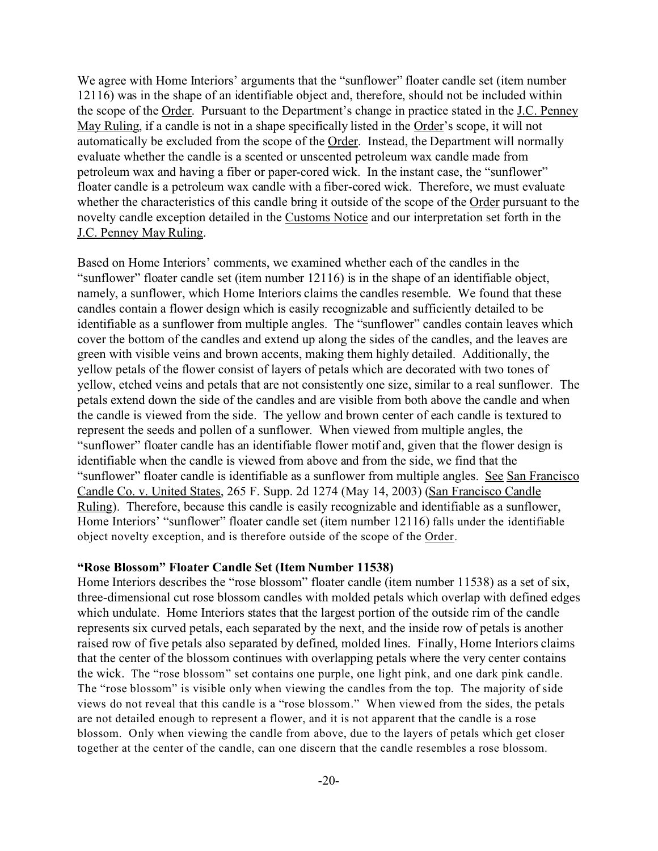We agree with Home Interiors' arguments that the "sunflower" floater candle set (item number 12116) was in the shape of an identifiable object and, therefore, should not be included within the scope of the Order. Pursuant to the Department's change in practice stated in the J.C. Penney May Ruling, if a candle is not in a shape specifically listed in the Order's scope, it will not automatically be excluded from the scope of the Order. Instead, the Department will normally evaluate whether the candle is a scented or unscented petroleum wax candle made from petroleum wax and having a fiber or paper-cored wick. In the instant case, the "sunflower" floater candle is a petroleum wax candle with a fiber-cored wick. Therefore, we must evaluate whether the characteristics of this candle bring it outside of the scope of the Order pursuant to the novelty candle exception detailed in the Customs Notice and our interpretation set forth in the J.C. Penney May Ruling.

Based on Home Interiors' comments, we examined whether each of the candles in the "sunflower" floater candle set (item number 12116) is in the shape of an identifiable object, namely, a sunflower, which Home Interiors claims the candles resemble. We found that these candles contain a flower design which is easily recognizable and sufficiently detailed to be identifiable as a sunflower from multiple angles. The "sunflower" candles contain leaves which cover the bottom of the candles and extend up along the sides of the candles, and the leaves are green with visible veins and brown accents, making them highly detailed. Additionally, the yellow petals of the flower consist of layers of petals which are decorated with two tones of yellow, etched veins and petals that are not consistently one size, similar to a real sunflower. The petals extend down the side of the candles and are visible from both above the candle and when the candle is viewed from the side. The yellow and brown center of each candle is textured to represent the seeds and pollen of a sunflower. When viewed from multiple angles, the "sunflower" floater candle has an identifiable flower motif and, given that the flower design is identifiable when the candle is viewed from above and from the side, we find that the "sunflower" floater candle is identifiable as a sunflower from multiple angles. See San Francisco Candle Co. v. United States, 265 F. Supp. 2d 1274 (May 14, 2003) (San Francisco Candle Ruling). Therefore, because this candle is easily recognizable and identifiable as a sunflower, Home Interiors' "sunflower" floater candle set (item number 12116) falls under the identifiable object novelty exception, and is therefore outside of the scope of the Order.

#### **"Rose Blossom" Floater Candle Set (Item Number 11538)**

Home Interiors describes the "rose blossom" floater candle (item number 11538) as a set of six, three-dimensional cut rose blossom candles with molded petals which overlap with defined edges which undulate. Home Interiors states that the largest portion of the outside rim of the candle represents six curved petals, each separated by the next, and the inside row of petals is another raised row of five petals also separated by defined, molded lines. Finally, Home Interiors claims that the center of the blossom continues with overlapping petals where the very center contains the wick. The "rose blossom" set contains one purple, one light pink, and one dark pink candle. The "rose blossom" is visible only when viewing the candles from the top. The majority of side views do not reveal that this candle is a "rose blossom." When viewed from the sides, the petals are not detailed enough to represent a flower, and it is not apparent that the candle is a rose blossom. Only when viewing the candle from above, due to the layers of petals which get closer together at the center of the candle, can one discern that the candle resembles a rose blossom.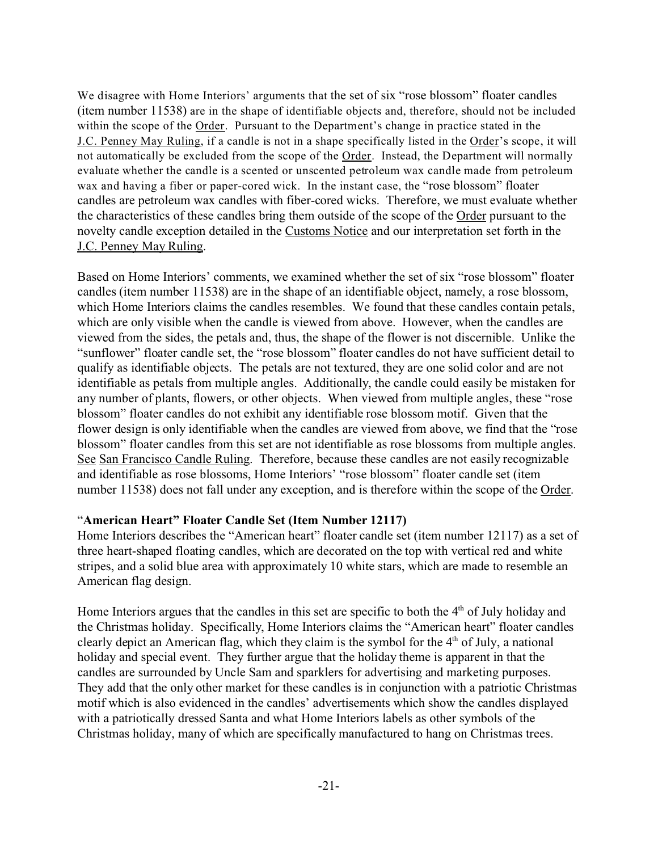We disagree with Home Interiors' arguments that the set of six "rose blossom" floater candles (item number 11538) are in the shape of identifiable objects and, therefore, should not be included within the scope of the Order. Pursuant to the Department's change in practice stated in the J.C. Penney May Ruling, if a candle is not in a shape specifically listed in the Order's scope, it will not automatically be excluded from the scope of the Order. Instead, the Department will normally evaluate whether the candle is a scented or unscented petroleum wax candle made from petroleum wax and having a fiber or paper-cored wick. In the instant case, the "rose blossom" floater candles are petroleum wax candles with fiber-cored wicks. Therefore, we must evaluate whether the characteristics of these candles bring them outside of the scope of the Order pursuant to the novelty candle exception detailed in the Customs Notice and our interpretation set forth in the J.C. Penney May Ruling.

Based on Home Interiors' comments, we examined whether the set of six "rose blossom" floater candles (item number 11538) are in the shape of an identifiable object, namely, a rose blossom, which Home Interiors claims the candles resembles. We found that these candles contain petals, which are only visible when the candle is viewed from above. However, when the candles are viewed from the sides, the petals and, thus, the shape of the flower is not discernible. Unlike the "sunflower" floater candle set, the "rose blossom" floater candles do not have sufficient detail to qualify as identifiable objects. The petals are not textured, they are one solid color and are not identifiable as petals from multiple angles. Additionally, the candle could easily be mistaken for any number of plants, flowers, or other objects. When viewed from multiple angles, these "rose blossom" floater candles do not exhibit any identifiable rose blossom motif. Given that the flower design is only identifiable when the candles are viewed from above, we find that the "rose blossom" floater candles from this set are not identifiable as rose blossoms from multiple angles. See San Francisco Candle Ruling. Therefore, because these candles are not easily recognizable and identifiable as rose blossoms, Home Interiors' "rose blossom" floater candle set (item number 11538) does not fall under any exception, and is therefore within the scope of the Order.

### "**American Heart" Floater Candle Set (Item Number 12117)**

Home Interiors describes the "American heart" floater candle set (item number 12117) as a set of three heart-shaped floating candles, which are decorated on the top with vertical red and white stripes, and a solid blue area with approximately 10 white stars, which are made to resemble an American flag design.

Home Interiors argues that the candles in this set are specific to both the 4<sup>th</sup> of July holiday and the Christmas holiday. Specifically, Home Interiors claims the "American heart" floater candles clearly depict an American flag, which they claim is the symbol for the  $4<sup>th</sup>$  of July, a national holiday and special event. They further argue that the holiday theme is apparent in that the candles are surrounded by Uncle Sam and sparklers for advertising and marketing purposes. They add that the only other market for these candles is in conjunction with a patriotic Christmas motif which is also evidenced in the candles' advertisements which show the candles displayed with a patriotically dressed Santa and what Home Interiors labels as other symbols of the Christmas holiday, many of which are specifically manufactured to hang on Christmas trees.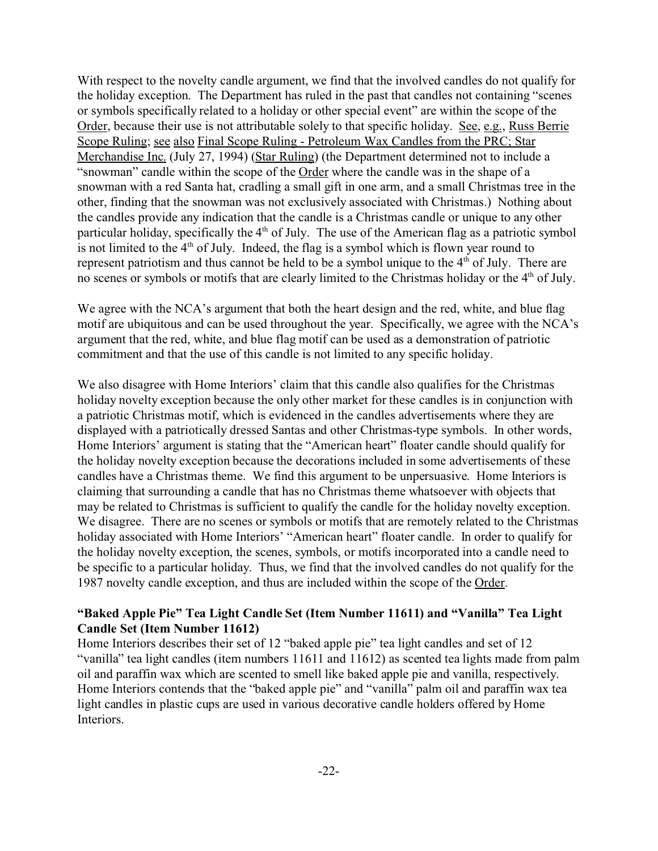With respect to the novelty candle argument, we find that the involved candles do not qualify for the holiday exception. The Department has ruled in the past that candles not containing "scenes or symbols specifically related to a holiday or other special event" are within the scope of the Order, because their use is not attributable solely to that specific holiday. See, e.g., Russ Berrie Scope Ruling; see also Final Scope Ruling - Petroleum Wax Candles from the PRC; Star Merchandise Inc. (July 27, 1994) (Star Ruling) (the Department determined not to include a "snowman" candle within the scope of the Order where the candle was in the shape of a snowman with a red Santa hat, cradling a small gift in one arm, and a small Christmas tree in the other, finding that the snowman was not exclusively associated with Christmas.) Nothing about the candles provide any indication that the candle is a Christmas candle or unique to any other particular holiday, specifically the  $4<sup>th</sup>$  of July. The use of the American flag as a patriotic symbol is not limited to the  $4<sup>th</sup>$  of July. Indeed, the flag is a symbol which is flown year round to represent patriotism and thus cannot be held to be a symbol unique to the  $4<sup>th</sup>$  of July. There are no scenes or symbols or motifs that are clearly limited to the Christmas holiday or the 4<sup>th</sup> of July.

We agree with the NCA's argument that both the heart design and the red, white, and blue flag motif are ubiquitous and can be used throughout the year. Specifically, we agree with the NCA's argument that the red, white, and blue flag motif can be used as a demonstration of patriotic commitment and that the use of this candle is not limited to any specific holiday.

We also disagree with Home Interiors' claim that this candle also qualifies for the Christmas holiday novelty exception because the only other market for these candles is in conjunction with a patriotic Christmas motif, which is evidenced in the candles advertisements where they are displayed with a patriotically dressed Santas and other Christmas-type symbols. In other words, Home Interiors' argument is stating that the "American heart" floater candle should qualify for the holiday novelty exception because the decorations included in some advertisements of these candles have a Christmas theme. We find this argument to be unpersuasive. Home Interiors is claiming that surrounding a candle that has no Christmas theme whatsoever with objects that may be related to Christmas is sufficient to qualify the candle for the holiday novelty exception. We disagree. There are no scenes or symbols or motifs that are remotely related to the Christmas holiday associated with Home Interiors' "American heart" floater candle. In order to qualify for the holiday novelty exception, the scenes, symbols, or motifs incorporated into a candle need to be specific to a particular holiday. Thus, we find that the involved candles do not qualify for the 1987 novelty candle exception, and thus are included within the scope of the Order.

## **"Baked Apple Pie" Tea Light Candle Set (Item Number 11611) and "Vanilla" Tea Light Candle Set (Item Number 11612)**

Home Interiors describes their set of 12 "baked apple pie" tea light candles and set of 12 "vanilla" tea light candles (item numbers 11611 and 11612) as scented tea lights made from palm oil and paraffin wax which are scented to smell like baked apple pie and vanilla, respectively. Home Interiors contends that the "baked apple pie" and "vanilla" palm oil and paraffin wax tea light candles in plastic cups are used in various decorative candle holders offered by Home Interiors.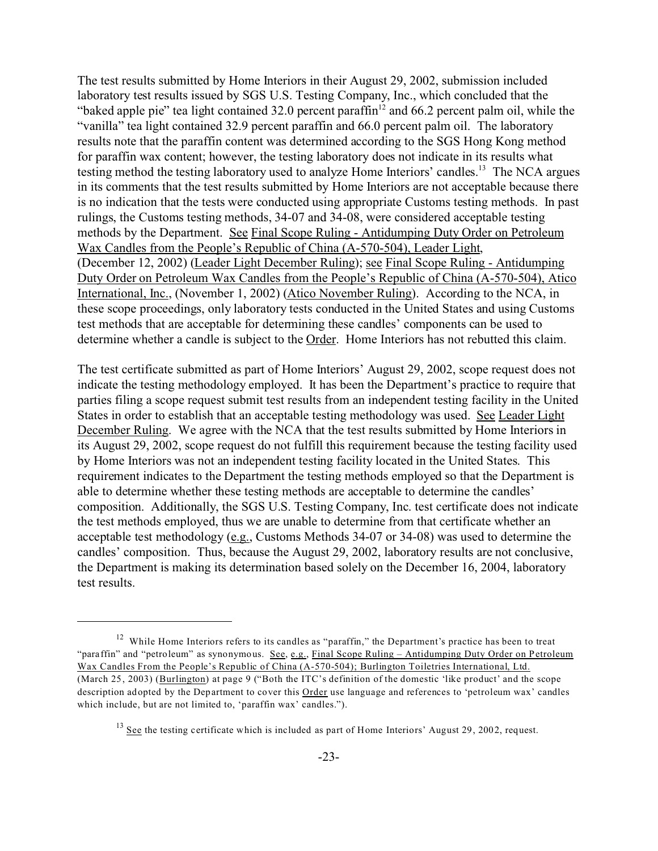The test results submitted by Home Interiors in their August 29, 2002, submission included laboratory test results issued by SGS U.S. Testing Company, Inc., which concluded that the "baked apple pie" tea light contained 32.0 percent paraffin<sup>12</sup> and 66.2 percent palm oil, while the "vanilla" tea light contained 32.9 percent paraffin and 66.0 percent palm oil. The laboratory results note that the paraffin content was determined according to the SGS Hong Kong method for paraffin wax content; however, the testing laboratory does not indicate in its results what testing method the testing laboratory used to analyze Home Interiors' candles.<sup>13</sup> The NCA argues in its comments that the test results submitted by Home Interiors are not acceptable because there is no indication that the tests were conducted using appropriate Customs testing methods. In past rulings, the Customs testing methods, 34-07 and 34-08, were considered acceptable testing methods by the Department. See Final Scope Ruling - Antidumping Duty Order on Petroleum Wax Candles from the People's Republic of China (A-570-504), Leader Light, (December 12, 2002) (Leader Light December Ruling); see Final Scope Ruling - Antidumping Duty Order on Petroleum Wax Candles from the People's Republic of China (A-570-504), Atico International, Inc., (November 1, 2002) (Atico November Ruling). According to the NCA, in these scope proceedings, only laboratory tests conducted in the United States and using Customs test methods that are acceptable for determining these candles' components can be used to determine whether a candle is subject to the Order. Home Interiors has not rebutted this claim.

The test certificate submitted as part of Home Interiors' August 29, 2002, scope request does not indicate the testing methodology employed. It has been the Department's practice to require that parties filing a scope request submit test results from an independent testing facility in the United States in order to establish that an acceptable testing methodology was used. See Leader Light December Ruling. We agree with the NCA that the test results submitted by Home Interiors in its August 29, 2002, scope request do not fulfill this requirement because the testing facility used by Home Interiors was not an independent testing facility located in the United States. This requirement indicates to the Department the testing methods employed so that the Department is able to determine whether these testing methods are acceptable to determine the candles' composition. Additionally, the SGS U.S. Testing Company, Inc. test certificate does not indicate the test methods employed, thus we are unable to determine from that certificate whether an acceptable test methodology (e.g., Customs Methods 34-07 or 34-08) was used to determine the candles' composition. Thus, because the August 29, 2002, laboratory results are not conclusive, the Department is making its determination based solely on the December 16, 2004, laboratory test results.

<sup>&</sup>lt;sup>12</sup> While Home Interiors refers to its candles as "paraffin," the Department's practice has been to treat "paraffin" and "petroleum" as synonymous. See, e.g., Final Scope Ruling – Antidumping Duty Order on Petroleum Wax Candles From the People's Republic of China (A-570-504); Burlington Toiletries International, Ltd. (March 25, 2003) (Burlington) at page 9 ("Both the ITC's definition of the domestic 'like product' and the scope description adopted by the Department to cover this **Order** use language and references to 'petroleum wax' candles which include, but are not limited to, 'paraffin wax' candles.").

<sup>&</sup>lt;sup>13</sup> See the testing certificate which is included as part of Home Interiors' August 29, 2002, request.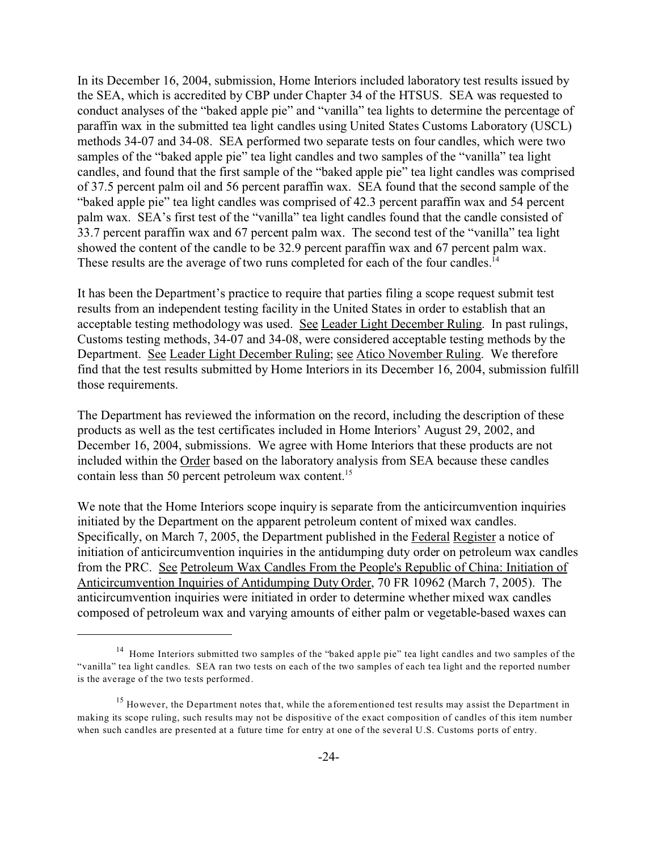In its December 16, 2004, submission, Home Interiors included laboratory test results issued by the SEA, which is accredited by CBP under Chapter 34 of the HTSUS. SEA was requested to conduct analyses of the "baked apple pie" and "vanilla" tea lights to determine the percentage of paraffin wax in the submitted tea light candles using United States Customs Laboratory (USCL) methods 34-07 and 34-08. SEA performed two separate tests on four candles, which were two samples of the "baked apple pie" tea light candles and two samples of the "vanilla" tea light candles, and found that the first sample of the "baked apple pie" tea light candles was comprised of 37.5 percent palm oil and 56 percent paraffin wax. SEA found that the second sample of the "baked apple pie" tea light candles was comprised of 42.3 percent paraffin wax and 54 percent palm wax. SEA's first test of the "vanilla" tea light candles found that the candle consisted of 33.7 percent paraffin wax and 67 percent palm wax. The second test of the "vanilla" tea light showed the content of the candle to be 32.9 percent paraffin wax and 67 percent palm wax. These results are the average of two runs completed for each of the four candles.<sup>14</sup>

It has been the Department's practice to require that parties filing a scope request submit test results from an independent testing facility in the United States in order to establish that an acceptable testing methodology was used. See Leader Light December Ruling. In past rulings, Customs testing methods, 34-07 and 34-08, were considered acceptable testing methods by the Department. See Leader Light December Ruling; see Atico November Ruling. We therefore find that the test results submitted by Home Interiors in its December 16, 2004, submission fulfill those requirements.

The Department has reviewed the information on the record, including the description of these products as well as the test certificates included in Home Interiors' August 29, 2002, and December 16, 2004, submissions. We agree with Home Interiors that these products are not included within the Order based on the laboratory analysis from SEA because these candles contain less than 50 percent petroleum wax content.<sup>15</sup>

We note that the Home Interiors scope inquiry is separate from the anticircumvention inquiries initiated by the Department on the apparent petroleum content of mixed wax candles. Specifically, on March 7, 2005, the Department published in the Federal Register a notice of initiation of anticircumvention inquiries in the antidumping duty order on petroleum wax candles from the PRC. See Petroleum Wax Candles From the People's Republic of China: Initiation of Anticircumvention Inquiries of Antidumping Duty Order, 70 FR 10962 (March 7, 2005). The anticircumvention inquiries were initiated in order to determine whether mixed wax candles composed of petroleum wax and varying amounts of either palm or vegetable-based waxes can

<sup>&</sup>lt;sup>14</sup> Home Interiors submitted two samples of the "baked apple pie" tea light candles and two samples of the "vanilla" tea light candles. SEA ran two tests on each of the two samples of each tea light and the reported number is the average of the two tests performed.

 $15$  However, the Department notes that, while the aforementioned test results may assist the Department in making its scope ruling, such results may not be dispositive of the exact composition of candles of this item number when such candles are presented at a future time for entry at one of the several U.S. Customs ports of entry.